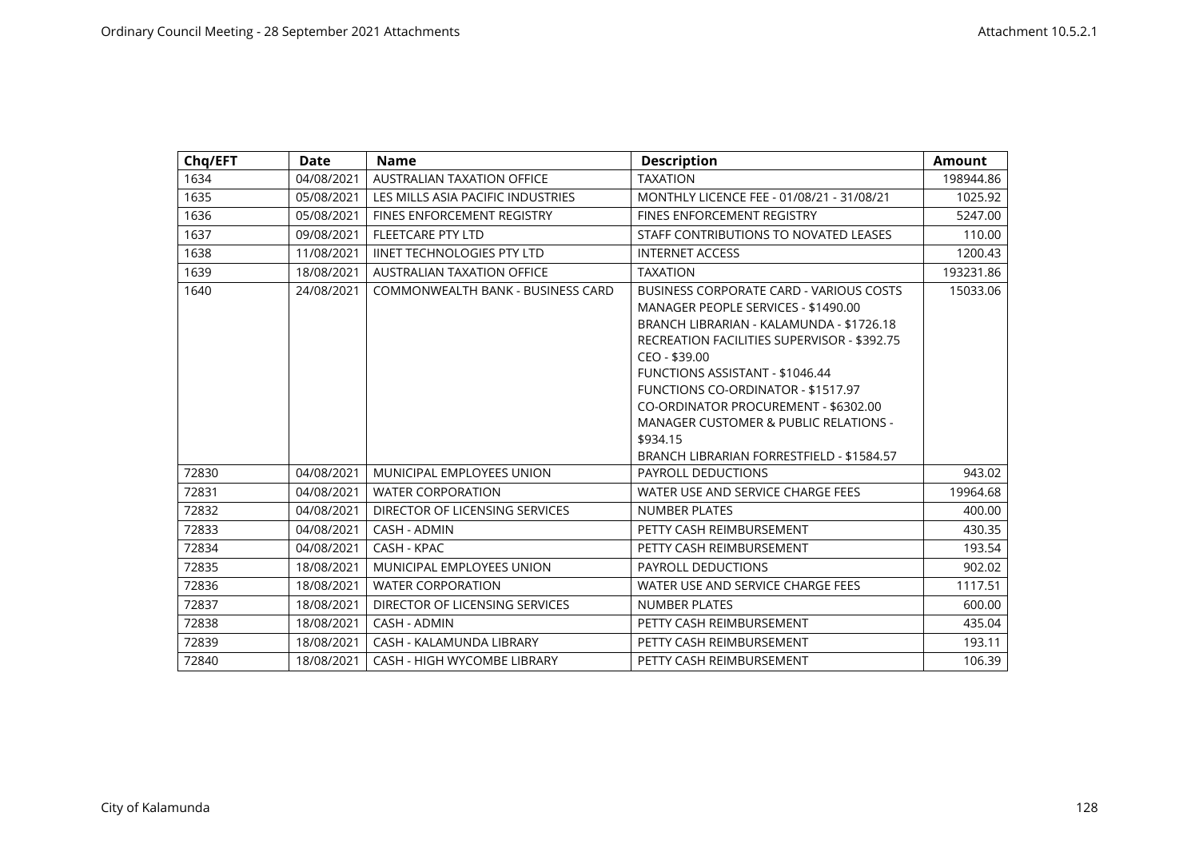| Chq/EFT | Date       | <b>Name</b>                        | <b>Description</b>                                                                                                                                                                                                                                                                                                                                                                                                   | <b>Amount</b> |
|---------|------------|------------------------------------|----------------------------------------------------------------------------------------------------------------------------------------------------------------------------------------------------------------------------------------------------------------------------------------------------------------------------------------------------------------------------------------------------------------------|---------------|
| 1634    | 04/08/2021 | AUSTRALIAN TAXATION OFFICE         | <b>TAXATION</b>                                                                                                                                                                                                                                                                                                                                                                                                      | 198944.86     |
| 1635    | 05/08/2021 | LES MILLS ASIA PACIFIC INDUSTRIES  | MONTHLY LICENCE FEE - 01/08/21 - 31/08/21                                                                                                                                                                                                                                                                                                                                                                            | 1025.92       |
| 1636    | 05/08/2021 | FINES ENFORCEMENT REGISTRY         | FINES ENFORCEMENT REGISTRY                                                                                                                                                                                                                                                                                                                                                                                           | 5247.00       |
| 1637    | 09/08/2021 | <b>FLEETCARE PTY LTD</b>           | STAFF CONTRIBUTIONS TO NOVATED LEASES                                                                                                                                                                                                                                                                                                                                                                                | 110.00        |
| 1638    | 11/08/2021 | <b>IINET TECHNOLOGIES PTY LTD</b>  | <b>INTERNET ACCESS</b>                                                                                                                                                                                                                                                                                                                                                                                               | 1200.43       |
| 1639    | 18/08/2021 | <b>AUSTRALIAN TAXATION OFFICE</b>  | <b>TAXATION</b>                                                                                                                                                                                                                                                                                                                                                                                                      | 193231.86     |
| 1640    | 24/08/2021 | COMMONWEALTH BANK - BUSINESS CARD  | BUSINESS CORPORATE CARD - VARIOUS COSTS<br>MANAGER PEOPLE SERVICES - \$1490.00<br>BRANCH LIBRARIAN - KALAMUNDA - \$1726.18<br>RECREATION FACILITIES SUPERVISOR - \$392.75<br>CEO - \$39.00<br><b>FUNCTIONS ASSISTANT - \$1046.44</b><br>FUNCTIONS CO-ORDINATOR - \$1517.97<br>CO-ORDINATOR PROCUREMENT - \$6302.00<br>MANAGER CUSTOMER & PUBLIC RELATIONS -<br>\$934.15<br>BRANCH LIBRARIAN FORRESTFIELD - \$1584.57 | 15033.06      |
| 72830   | 04/08/2021 | MUNICIPAL EMPLOYEES UNION          | <b>PAYROLL DEDUCTIONS</b>                                                                                                                                                                                                                                                                                                                                                                                            | 943.02        |
| 72831   | 04/08/2021 | <b>WATER CORPORATION</b>           | WATER USE AND SERVICE CHARGE FEES                                                                                                                                                                                                                                                                                                                                                                                    | 19964.68      |
| 72832   | 04/08/2021 | DIRECTOR OF LICENSING SERVICES     | <b>NUMBER PLATES</b>                                                                                                                                                                                                                                                                                                                                                                                                 | 400.00        |
| 72833   | 04/08/2021 | CASH - ADMIN                       | PETTY CASH REIMBURSEMENT                                                                                                                                                                                                                                                                                                                                                                                             | 430.35        |
| 72834   | 04/08/2021 | CASH - KPAC                        | PETTY CASH REIMBURSEMENT                                                                                                                                                                                                                                                                                                                                                                                             | 193.54        |
| 72835   | 18/08/2021 | MUNICIPAL EMPLOYEES UNION          | PAYROLL DEDUCTIONS                                                                                                                                                                                                                                                                                                                                                                                                   | 902.02        |
| 72836   | 18/08/2021 | <b>WATER CORPORATION</b>           | WATER USE AND SERVICE CHARGE FEES                                                                                                                                                                                                                                                                                                                                                                                    | 1117.51       |
| 72837   | 18/08/2021 | DIRECTOR OF LICENSING SERVICES     | <b>NUMBER PLATES</b>                                                                                                                                                                                                                                                                                                                                                                                                 | 600.00        |
| 72838   | 18/08/2021 | CASH - ADMIN                       | PETTY CASH REIMBURSEMENT                                                                                                                                                                                                                                                                                                                                                                                             | 435.04        |
| 72839   | 18/08/2021 | CASH - KALAMUNDA LIBRARY           | PETTY CASH REIMBURSEMENT                                                                                                                                                                                                                                                                                                                                                                                             | 193.11        |
| 72840   | 18/08/2021 | <b>CASH - HIGH WYCOMBE LIBRARY</b> | PETTY CASH REIMBURSEMENT                                                                                                                                                                                                                                                                                                                                                                                             | 106.39        |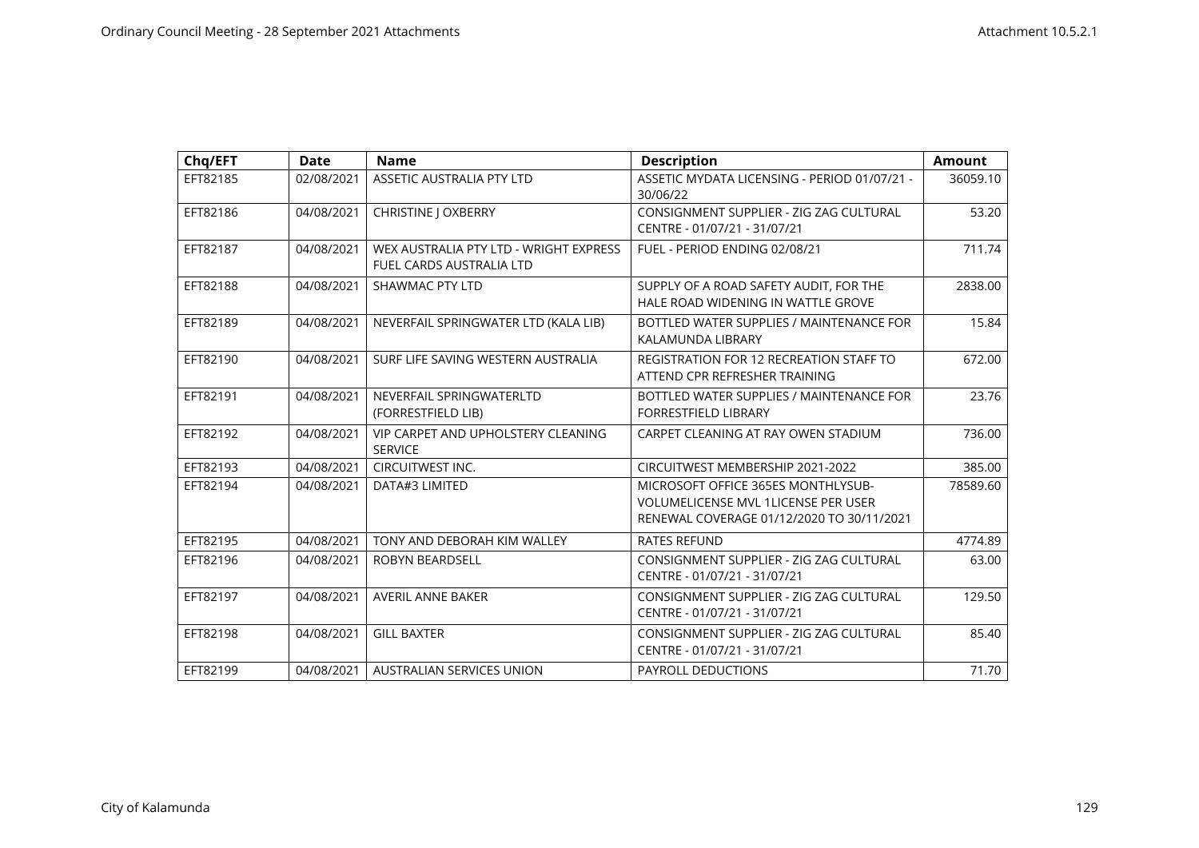| Chq/EFT  | <b>Date</b> | <b>Name</b>                                                        | <b>Description</b>                                                                                                     | <b>Amount</b> |
|----------|-------------|--------------------------------------------------------------------|------------------------------------------------------------------------------------------------------------------------|---------------|
| EFT82185 | 02/08/2021  | ASSETIC AUSTRALIA PTY LTD                                          | ASSETIC MYDATA LICENSING - PERIOD 01/07/21 -<br>30/06/22                                                               | 36059.10      |
| EFT82186 | 04/08/2021  | <b>CHRISTINE   OXBERRY</b>                                         | CONSIGNMENT SUPPLIER - ZIG ZAG CULTURAL<br>CENTRE - 01/07/21 - 31/07/21                                                | 53.20         |
| EFT82187 | 04/08/2021  | WEX AUSTRALIA PTY LTD - WRIGHT EXPRESS<br>FUEL CARDS AUSTRALIA LTD | FUEL - PERIOD ENDING 02/08/21                                                                                          | 711.74        |
| EFT82188 | 04/08/2021  | SHAWMAC PTY LTD                                                    | SUPPLY OF A ROAD SAFETY AUDIT, FOR THE<br>HALE ROAD WIDENING IN WATTLE GROVE                                           | 2838.00       |
| EFT82189 | 04/08/2021  | NEVERFAIL SPRINGWATER LTD (KALA LIB)                               | BOTTLED WATER SUPPLIES / MAINTENANCE FOR<br>KALAMUNDA LIBRARY                                                          | 15.84         |
| EFT82190 | 04/08/2021  | SURF LIFE SAVING WESTERN AUSTRALIA                                 | <b>REGISTRATION FOR 12 RECREATION STAFF TO</b><br>ATTEND CPR REFRESHER TRAINING                                        | 672.00        |
| EFT82191 | 04/08/2021  | NEVERFAIL SPRINGWATERLTD<br>(FORRESTFIELD LIB)                     | BOTTLED WATER SUPPLIES / MAINTENANCE FOR<br><b>FORRESTFIELD LIBRARY</b>                                                | 23.76         |
| EFT82192 | 04/08/2021  | VIP CARPET AND UPHOLSTERY CLEANING<br><b>SERVICE</b>               | CARPET CLEANING AT RAY OWEN STADIUM                                                                                    | 736.00        |
| EFT82193 | 04/08/2021  | CIRCUITWEST INC.                                                   | CIRCUITWEST MEMBERSHIP 2021-2022                                                                                       | 385.00        |
| EFT82194 | 04/08/2021  | DATA#3 LIMITED                                                     | MICROSOFT OFFICE 365ES MONTHLYSUB-<br>VOLUMELICENSE MVL 1LICENSE PER USER<br>RENEWAL COVERAGE 01/12/2020 TO 30/11/2021 | 78589.60      |
| EFT82195 | 04/08/2021  | TONY AND DEBORAH KIM WALLEY                                        | <b>RATES REFUND</b>                                                                                                    | 4774.89       |
| EFT82196 | 04/08/2021  | <b>ROBYN BEARDSELL</b>                                             | CONSIGNMENT SUPPLIER - ZIG ZAG CULTURAL<br>CENTRE - 01/07/21 - 31/07/21                                                | 63.00         |
| EFT82197 | 04/08/2021  | <b>AVERIL ANNE BAKER</b>                                           | CONSIGNMENT SUPPLIER - ZIG ZAG CULTURAL<br>CENTRE - 01/07/21 - 31/07/21                                                | 129.50        |
| EFT82198 | 04/08/2021  | <b>GILL BAXTER</b>                                                 | CONSIGNMENT SUPPLIER - ZIG ZAG CULTURAL<br>CENTRE - 01/07/21 - 31/07/21                                                | 85.40         |
| EFT82199 | 04/08/2021  | <b>AUSTRALIAN SERVICES UNION</b>                                   | <b>PAYROLL DEDUCTIONS</b>                                                                                              | 71.70         |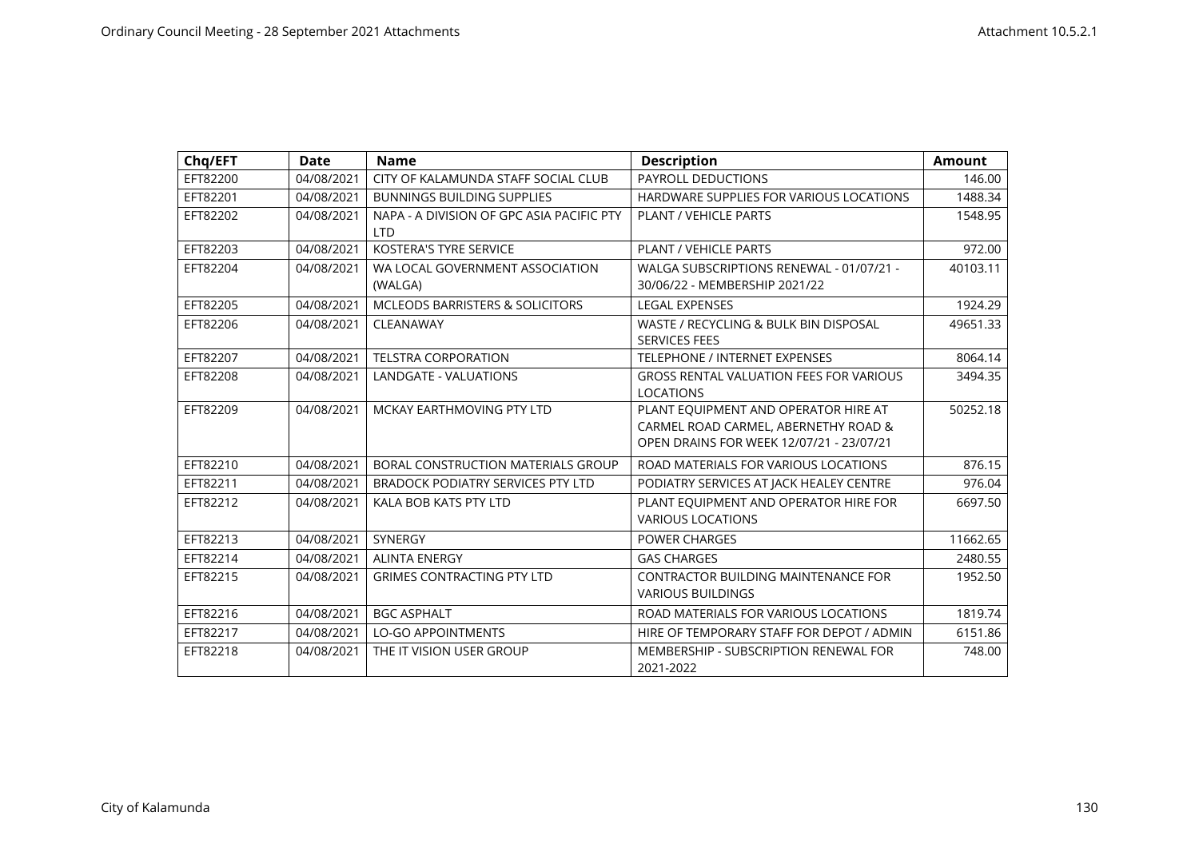| Chq/EFT  | <b>Date</b> | <b>Name</b>                                             | <b>Description</b>                                                                                                       | <b>Amount</b> |
|----------|-------------|---------------------------------------------------------|--------------------------------------------------------------------------------------------------------------------------|---------------|
| EFT82200 | 04/08/2021  | CITY OF KALAMUNDA STAFF SOCIAL CLUB                     | PAYROLL DEDUCTIONS                                                                                                       | 146.00        |
| EFT82201 | 04/08/2021  | <b>BUNNINGS BUILDING SUPPLIES</b>                       | HARDWARE SUPPLIES FOR VARIOUS LOCATIONS                                                                                  | 1488.34       |
| EFT82202 | 04/08/2021  | NAPA - A DIVISION OF GPC ASIA PACIFIC PTY<br><b>LTD</b> | <b>PLANT / VEHICLE PARTS</b>                                                                                             | 1548.95       |
| EFT82203 | 04/08/2021  | <b>KOSTERA'S TYRE SERVICE</b>                           | PLANT / VEHICLE PARTS                                                                                                    | 972.00        |
| EFT82204 | 04/08/2021  | WA LOCAL GOVERNMENT ASSOCIATION<br>(WALGA)              | WALGA SUBSCRIPTIONS RENEWAL - 01/07/21 -<br>30/06/22 - MEMBERSHIP 2021/22                                                | 40103.11      |
| EFT82205 | 04/08/2021  | <b>MCLEODS BARRISTERS &amp; SOLICITORS</b>              | <b>LEGAL EXPENSES</b>                                                                                                    | 1924.29       |
| EFT82206 | 04/08/2021  | CLEANAWAY                                               | WASTE / RECYCLING & BULK BIN DISPOSAL<br><b>SERVICES FEES</b>                                                            | 49651.33      |
| EFT82207 | 04/08/2021  | <b>TELSTRA CORPORATION</b>                              | <b>TELEPHONE / INTERNET EXPENSES</b>                                                                                     | 8064.14       |
| EFT82208 | 04/08/2021  | <b>LANDGATE - VALUATIONS</b>                            | <b>GROSS RENTAL VALUATION FEES FOR VARIOUS</b><br><b>LOCATIONS</b>                                                       | 3494.35       |
| EFT82209 | 04/08/2021  | MCKAY EARTHMOVING PTY LTD                               | PLANT EQUIPMENT AND OPERATOR HIRE AT<br>CARMEL ROAD CARMEL, ABERNETHY ROAD &<br>OPEN DRAINS FOR WEEK 12/07/21 - 23/07/21 | 50252.18      |
| EFT82210 | 04/08/2021  | BORAL CONSTRUCTION MATERIALS GROUP                      | ROAD MATERIALS FOR VARIOUS LOCATIONS                                                                                     | 876.15        |
| EFT82211 | 04/08/2021  | BRADOCK PODIATRY SERVICES PTY LTD                       | PODIATRY SERVICES AT JACK HEALEY CENTRE                                                                                  | 976.04        |
| EFT82212 | 04/08/2021  | KALA BOB KATS PTY LTD                                   | PLANT EQUIPMENT AND OPERATOR HIRE FOR<br><b>VARIOUS LOCATIONS</b>                                                        | 6697.50       |
| EFT82213 | 04/08/2021  | <b>SYNERGY</b>                                          | <b>POWER CHARGES</b>                                                                                                     | 11662.65      |
| EFT82214 | 04/08/2021  | <b>ALINTA ENERGY</b>                                    | <b>GAS CHARGES</b>                                                                                                       | 2480.55       |
| EFT82215 | 04/08/2021  | <b>GRIMES CONTRACTING PTY LTD</b>                       | <b>CONTRACTOR BUILDING MAINTENANCE FOR</b><br><b>VARIOUS BUILDINGS</b>                                                   | 1952.50       |
| EFT82216 | 04/08/2021  | <b>BGC ASPHALT</b>                                      | ROAD MATERIALS FOR VARIOUS LOCATIONS                                                                                     | 1819.74       |
| EFT82217 | 04/08/2021  | <b>LO-GO APPOINTMENTS</b>                               | HIRE OF TEMPORARY STAFF FOR DEPOT / ADMIN                                                                                | 6151.86       |
| EFT82218 | 04/08/2021  | THE IT VISION USER GROUP                                | MEMBERSHIP - SUBSCRIPTION RENEWAL FOR<br>2021-2022                                                                       | 748.00        |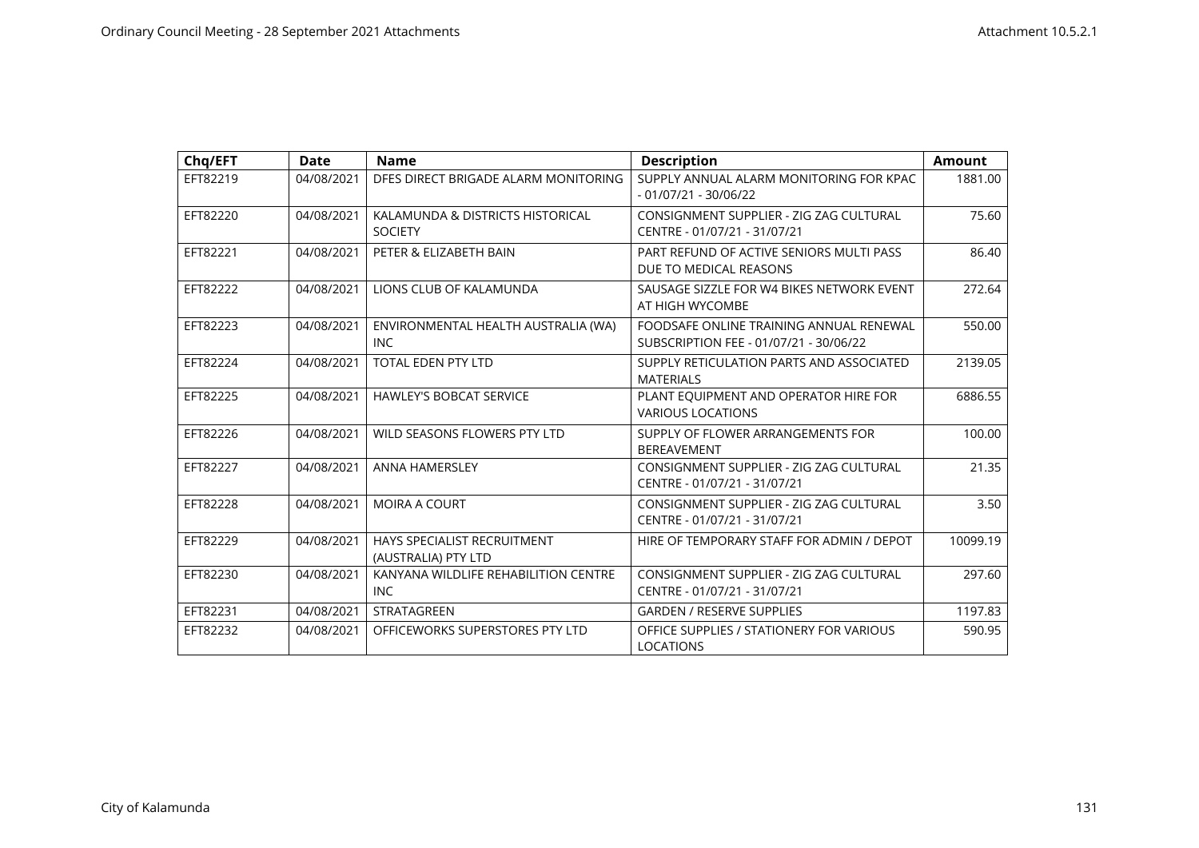| Chq/EFT  | <b>Date</b> | <b>Name</b>                                               | <b>Description</b>                                                                | <b>Amount</b> |
|----------|-------------|-----------------------------------------------------------|-----------------------------------------------------------------------------------|---------------|
| EFT82219 | 04/08/2021  | DFES DIRECT BRIGADE ALARM MONITORING                      | SUPPLY ANNUAL ALARM MONITORING FOR KPAC<br>$-01/07/21 - 30/06/22$                 | 1881.00       |
| EFT82220 | 04/08/2021  | KALAMUNDA & DISTRICTS HISTORICAL<br><b>SOCIETY</b>        | CONSIGNMENT SUPPLIER - ZIG ZAG CULTURAL<br>CENTRE - 01/07/21 - 31/07/21           | 75.60         |
| EFT82221 | 04/08/2021  | PETER & ELIZABETH BAIN                                    | PART REFUND OF ACTIVE SENIORS MULTI PASS<br>DUE TO MEDICAL REASONS                | 86.40         |
| EFT82222 | 04/08/2021  | LIONS CLUB OF KALAMUNDA                                   | SAUSAGE SIZZLE FOR W4 BIKES NETWORK EVENT<br>AT HIGH WYCOMBE                      | 272.64        |
| EFT82223 | 04/08/2021  | ENVIRONMENTAL HEALTH AUSTRALIA (WA)<br><b>INC</b>         | FOODSAFE ONLINE TRAINING ANNUAL RENEWAL<br>SUBSCRIPTION FEE - 01/07/21 - 30/06/22 | 550.00        |
| EFT82224 | 04/08/2021  | <b>TOTAL EDEN PTY LTD</b>                                 | SUPPLY RETICULATION PARTS AND ASSOCIATED<br><b>MATERIALS</b>                      | 2139.05       |
| EFT82225 | 04/08/2021  | <b>HAWLEY'S BOBCAT SERVICE</b>                            | PLANT EQUIPMENT AND OPERATOR HIRE FOR<br><b>VARIOUS LOCATIONS</b>                 | 6886.55       |
| EFT82226 | 04/08/2021  | WILD SEASONS FLOWERS PTY LTD                              | SUPPLY OF FLOWER ARRANGEMENTS FOR<br><b>BEREAVEMENT</b>                           | 100.00        |
| EFT82227 | 04/08/2021  | <b>ANNA HAMERSLEY</b>                                     | CONSIGNMENT SUPPLIER - ZIG ZAG CULTURAL<br>CENTRE - 01/07/21 - 31/07/21           | 21.35         |
| EFT82228 | 04/08/2021  | <b>MOIRA A COURT</b>                                      | CONSIGNMENT SUPPLIER - ZIG ZAG CULTURAL<br>CENTRE - 01/07/21 - 31/07/21           | 3.50          |
| EFT82229 | 04/08/2021  | <b>HAYS SPECIALIST RECRUITMENT</b><br>(AUSTRALIA) PTY LTD | HIRE OF TEMPORARY STAFF FOR ADMIN / DEPOT                                         | 10099.19      |
| EFT82230 | 04/08/2021  | KANYANA WILDLIFE REHABILITION CENTRE<br><b>INC</b>        | CONSIGNMENT SUPPLIER - ZIG ZAG CULTURAL<br>CENTRE - 01/07/21 - 31/07/21           | 297.60        |
| EFT82231 | 04/08/2021  | <b>STRATAGREEN</b>                                        | <b>GARDEN / RESERVE SUPPLIES</b>                                                  | 1197.83       |
| EFT82232 | 04/08/2021  | OFFICEWORKS SUPERSTORES PTY LTD                           | OFFICE SUPPLIES / STATIONERY FOR VARIOUS<br><b>LOCATIONS</b>                      | 590.95        |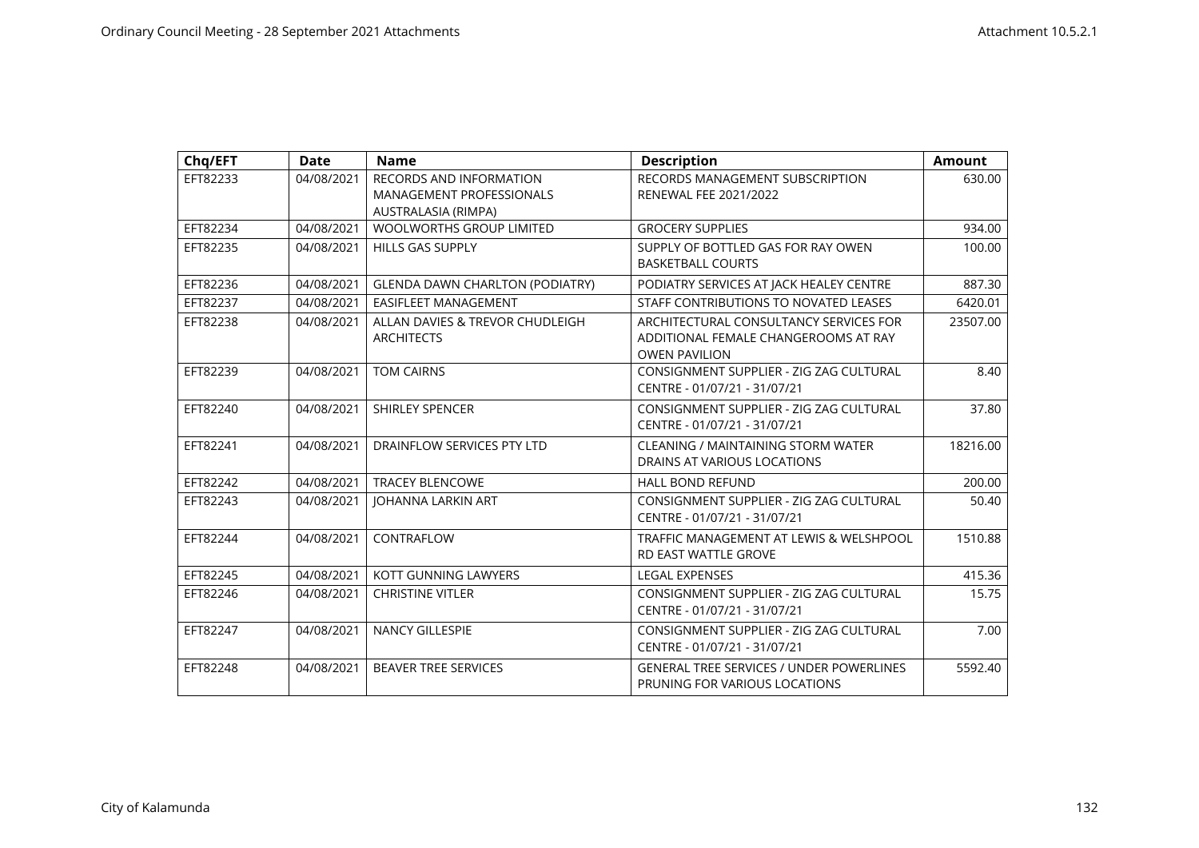| Chq/EFT  | <b>Date</b> | <b>Name</b>                                                                       | <b>Description</b>                                                                                     | <b>Amount</b> |
|----------|-------------|-----------------------------------------------------------------------------------|--------------------------------------------------------------------------------------------------------|---------------|
| EFT82233 | 04/08/2021  | <b>RECORDS AND INFORMATION</b><br>MANAGEMENT PROFESSIONALS<br>AUSTRALASIA (RIMPA) | RECORDS MANAGEMENT SUBSCRIPTION<br><b>RENEWAL FEE 2021/2022</b>                                        | 630.00        |
| EFT82234 | 04/08/2021  | <b>WOOLWORTHS GROUP LIMITED</b>                                                   | <b>GROCERY SUPPLIES</b>                                                                                | 934.00        |
| EFT82235 | 04/08/2021  | <b>HILLS GAS SUPPLY</b>                                                           | SUPPLY OF BOTTLED GAS FOR RAY OWEN<br><b>BASKETBALL COURTS</b>                                         | 100.00        |
| EFT82236 | 04/08/2021  | <b>GLENDA DAWN CHARLTON (PODIATRY)</b>                                            | PODIATRY SERVICES AT JACK HEALEY CENTRE                                                                | 887.30        |
| EFT82237 | 04/08/2021  | EASIFLEET MANAGEMENT                                                              | STAFF CONTRIBUTIONS TO NOVATED LEASES                                                                  | 6420.01       |
| EFT82238 | 04/08/2021  | ALLAN DAVIES & TREVOR CHUDLEIGH<br><b>ARCHITECTS</b>                              | ARCHITECTURAL CONSULTANCY SERVICES FOR<br>ADDITIONAL FEMALE CHANGEROOMS AT RAY<br><b>OWEN PAVILION</b> | 23507.00      |
| EFT82239 | 04/08/2021  | <b>TOM CAIRNS</b>                                                                 | CONSIGNMENT SUPPLIER - ZIG ZAG CULTURAL<br>CENTRE - 01/07/21 - 31/07/21                                | 8.40          |
| EFT82240 | 04/08/2021  | <b>SHIRLEY SPENCER</b>                                                            | CONSIGNMENT SUPPLIER - ZIG ZAG CULTURAL<br>CENTRE - 01/07/21 - 31/07/21                                | 37.80         |
| EFT82241 | 04/08/2021  | DRAINFLOW SERVICES PTY LTD                                                        | CLEANING / MAINTAINING STORM WATER<br>DRAINS AT VARIOUS LOCATIONS                                      | 18216.00      |
| EFT82242 | 04/08/2021  | <b>TRACEY BLENCOWE</b>                                                            | <b>HALL BOND REFUND</b>                                                                                | 200.00        |
| EFT82243 | 04/08/2021  | <b>JOHANNA LARKIN ART</b>                                                         | CONSIGNMENT SUPPLIER - ZIG ZAG CULTURAL<br>CENTRE - 01/07/21 - 31/07/21                                | 50.40         |
| EFT82244 | 04/08/2021  | CONTRAFLOW                                                                        | TRAFFIC MANAGEMENT AT LEWIS & WELSHPOOL<br><b>RD EAST WATTLE GROVE</b>                                 | 1510.88       |
| EFT82245 | 04/08/2021  | KOTT GUNNING LAWYERS                                                              | <b>LEGAL EXPENSES</b>                                                                                  | 415.36        |
| EFT82246 | 04/08/2021  | <b>CHRISTINE VITLER</b>                                                           | CONSIGNMENT SUPPLIER - ZIG ZAG CULTURAL<br>CENTRE - 01/07/21 - 31/07/21                                | 15.75         |
| EFT82247 | 04/08/2021  | <b>NANCY GILLESPIE</b>                                                            | CONSIGNMENT SUPPLIER - ZIG ZAG CULTURAL<br>CENTRE - 01/07/21 - 31/07/21                                | 7.00          |
| EFT82248 | 04/08/2021  | <b>BEAVER TREE SERVICES</b>                                                       | <b>GENERAL TREE SERVICES / UNDER POWERLINES</b><br>PRUNING FOR VARIOUS LOCATIONS                       | 5592.40       |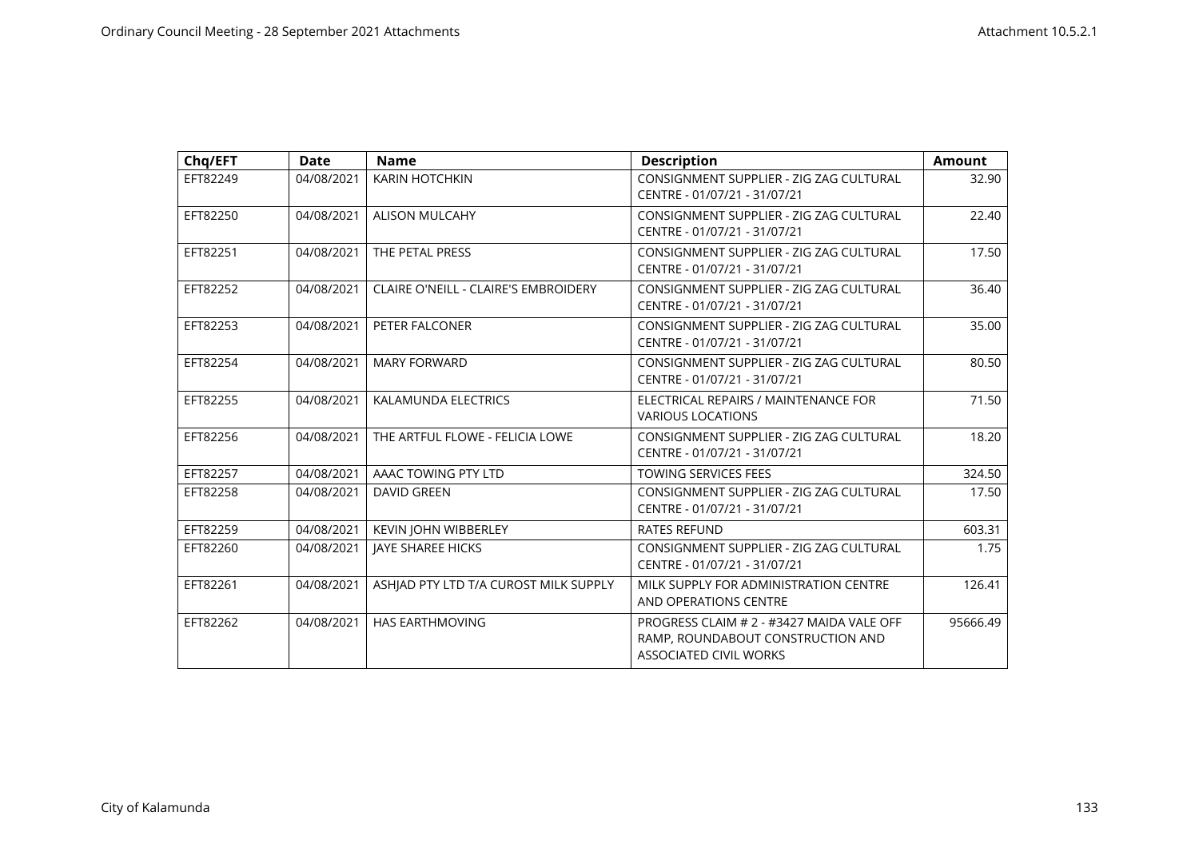| Chq/EFT  | <b>Date</b> | <b>Name</b>                                 | <b>Description</b>                                                                                              | <b>Amount</b> |
|----------|-------------|---------------------------------------------|-----------------------------------------------------------------------------------------------------------------|---------------|
| EFT82249 | 04/08/2021  | KARIN HOTCHKIN                              | CONSIGNMENT SUPPLIER - ZIG ZAG CULTURAL<br>CENTRE - 01/07/21 - 31/07/21                                         | 32.90         |
| EFT82250 | 04/08/2021  | ALISON MULCAHY                              | CONSIGNMENT SUPPLIER - ZIG ZAG CULTURAL<br>CENTRE - 01/07/21 - 31/07/21                                         | 22.40         |
| EFT82251 | 04/08/2021  | THE PETAL PRESS                             | CONSIGNMENT SUPPLIER - ZIG ZAG CULTURAL<br>CENTRE - 01/07/21 - 31/07/21                                         | 17.50         |
| EFT82252 | 04/08/2021  | <b>CLAIRE O'NEILL - CLAIRE'S EMBROIDERY</b> | CONSIGNMENT SUPPLIER - ZIG ZAG CULTURAL<br>CENTRE - 01/07/21 - 31/07/21                                         | 36.40         |
| EFT82253 | 04/08/2021  | PETER FALCONER                              | CONSIGNMENT SUPPLIER - ZIG ZAG CULTURAL<br>CENTRE - 01/07/21 - 31/07/21                                         | 35.00         |
| EFT82254 | 04/08/2021  | <b>MARY FORWARD</b>                         | CONSIGNMENT SUPPLIER - ZIG ZAG CULTURAL<br>CENTRE - 01/07/21 - 31/07/21                                         | 80.50         |
| EFT82255 | 04/08/2021  | KALAMUNDA ELECTRICS                         | ELECTRICAL REPAIRS / MAINTENANCE FOR<br><b>VARIOUS LOCATIONS</b>                                                | 71.50         |
| EFT82256 | 04/08/2021  | THE ARTFUL FLOWE - FELICIA LOWE             | CONSIGNMENT SUPPLIER - ZIG ZAG CULTURAL<br>CENTRE - 01/07/21 - 31/07/21                                         | 18.20         |
| EFT82257 | 04/08/2021  | AAAC TOWING PTY LTD                         | <b>TOWING SERVICES FEES</b>                                                                                     | 324.50        |
| EFT82258 | 04/08/2021  | <b>DAVID GREEN</b>                          | CONSIGNMENT SUPPLIER - ZIG ZAG CULTURAL<br>CENTRE - 01/07/21 - 31/07/21                                         | 17.50         |
| EFT82259 | 04/08/2021  | KEVIN JOHN WIBBERLEY                        | <b>RATES REFUND</b>                                                                                             | 603.31        |
| EFT82260 | 04/08/2021  | JAYE SHAREE HICKS                           | CONSIGNMENT SUPPLIER - ZIG ZAG CULTURAL<br>CENTRE - 01/07/21 - 31/07/21                                         | 1.75          |
| EFT82261 | 04/08/2021  | ASHIAD PTY LTD T/A CUROST MILK SUPPLY       | MILK SUPPLY FOR ADMINISTRATION CENTRE<br>AND OPERATIONS CENTRE                                                  | 126.41        |
| EFT82262 | 04/08/2021  | <b>HAS EARTHMOVING</b>                      | PROGRESS CLAIM # 2 - #3427 MAIDA VALE OFF<br>RAMP, ROUNDABOUT CONSTRUCTION AND<br><b>ASSOCIATED CIVIL WORKS</b> | 95666.49      |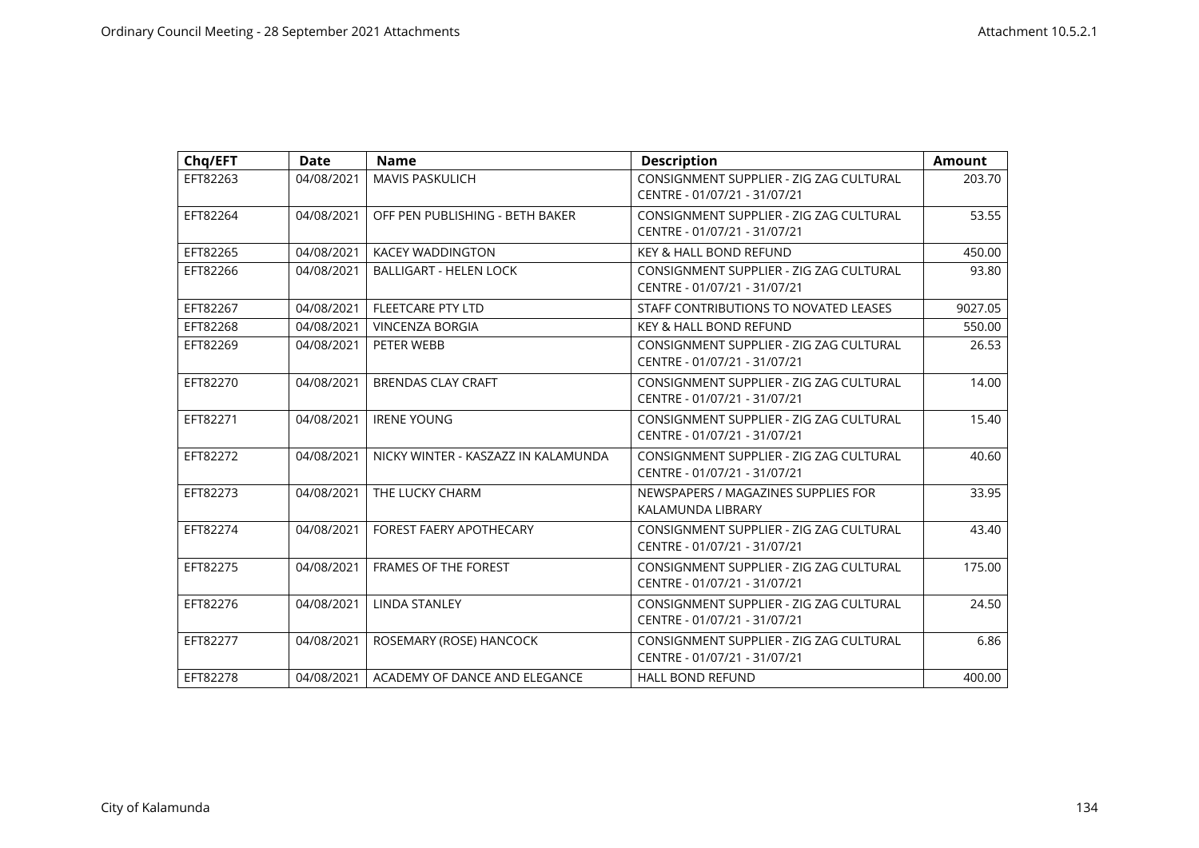| Chq/EFT  | <b>Date</b> | <b>Name</b>                         | <b>Description</b>                                                      | <b>Amount</b> |
|----------|-------------|-------------------------------------|-------------------------------------------------------------------------|---------------|
| EFT82263 | 04/08/2021  | <b>MAVIS PASKULICH</b>              | CONSIGNMENT SUPPLIER - ZIG ZAG CULTURAL<br>CENTRE - 01/07/21 - 31/07/21 | 203.70        |
| EFT82264 | 04/08/2021  | OFF PEN PUBLISHING - BETH BAKER     | CONSIGNMENT SUPPLIER - ZIG ZAG CULTURAL<br>CENTRE - 01/07/21 - 31/07/21 | 53.55         |
| EFT82265 | 04/08/2021  | <b>KACEY WADDINGTON</b>             | <b>KEY &amp; HALL BOND REFUND</b>                                       | 450.00        |
| EFT82266 | 04/08/2021  | <b>BALLIGART - HELEN LOCK</b>       | CONSIGNMENT SUPPLIER - ZIG ZAG CULTURAL<br>CENTRE - 01/07/21 - 31/07/21 | 93.80         |
| EFT82267 | 04/08/2021  | <b>FLEETCARE PTY LTD</b>            | STAFF CONTRIBUTIONS TO NOVATED LEASES                                   | 9027.05       |
| EFT82268 | 04/08/2021  | <b>VINCENZA BORGIA</b>              | <b>KEY &amp; HALL BOND REFUND</b>                                       | 550.00        |
| EFT82269 | 04/08/2021  | PETER WEBB                          | CONSIGNMENT SUPPLIER - ZIG ZAG CULTURAL<br>CENTRE - 01/07/21 - 31/07/21 | 26.53         |
| EFT82270 | 04/08/2021  | <b>BRENDAS CLAY CRAFT</b>           | CONSIGNMENT SUPPLIER - ZIG ZAG CULTURAL<br>CENTRE - 01/07/21 - 31/07/21 | 14.00         |
| EFT82271 | 04/08/2021  | <b>IRENE YOUNG</b>                  | CONSIGNMENT SUPPLIER - ZIG ZAG CULTURAL<br>CENTRE - 01/07/21 - 31/07/21 | 15.40         |
| EFT82272 | 04/08/2021  | NICKY WINTER - KASZAZZ IN KALAMUNDA | CONSIGNMENT SUPPLIER - ZIG ZAG CULTURAL<br>CENTRE - 01/07/21 - 31/07/21 | 40.60         |
| EFT82273 | 04/08/2021  | THE LUCKY CHARM                     | NEWSPAPERS / MAGAZINES SUPPLIES FOR<br>KALAMUNDA LIBRARY                | 33.95         |
| EFT82274 | 04/08/2021  | <b>FOREST FAERY APOTHECARY</b>      | CONSIGNMENT SUPPLIER - ZIG ZAG CULTURAL<br>CENTRE - 01/07/21 - 31/07/21 | 43.40         |
| EFT82275 | 04/08/2021  | <b>FRAMES OF THE FOREST</b>         | CONSIGNMENT SUPPLIER - ZIG ZAG CULTURAL<br>CENTRE - 01/07/21 - 31/07/21 | 175.00        |
| EFT82276 | 04/08/2021  | <b>LINDA STANLEY</b>                | CONSIGNMENT SUPPLIER - ZIG ZAG CULTURAL<br>CENTRE - 01/07/21 - 31/07/21 | 24.50         |
| EFT82277 | 04/08/2021  | ROSEMARY (ROSE) HANCOCK             | CONSIGNMENT SUPPLIER - ZIG ZAG CULTURAL<br>CENTRE - 01/07/21 - 31/07/21 | 6.86          |
| EFT82278 | 04/08/2021  | ACADEMY OF DANCE AND ELEGANCE       | <b>HALL BOND REFUND</b>                                                 | 400.00        |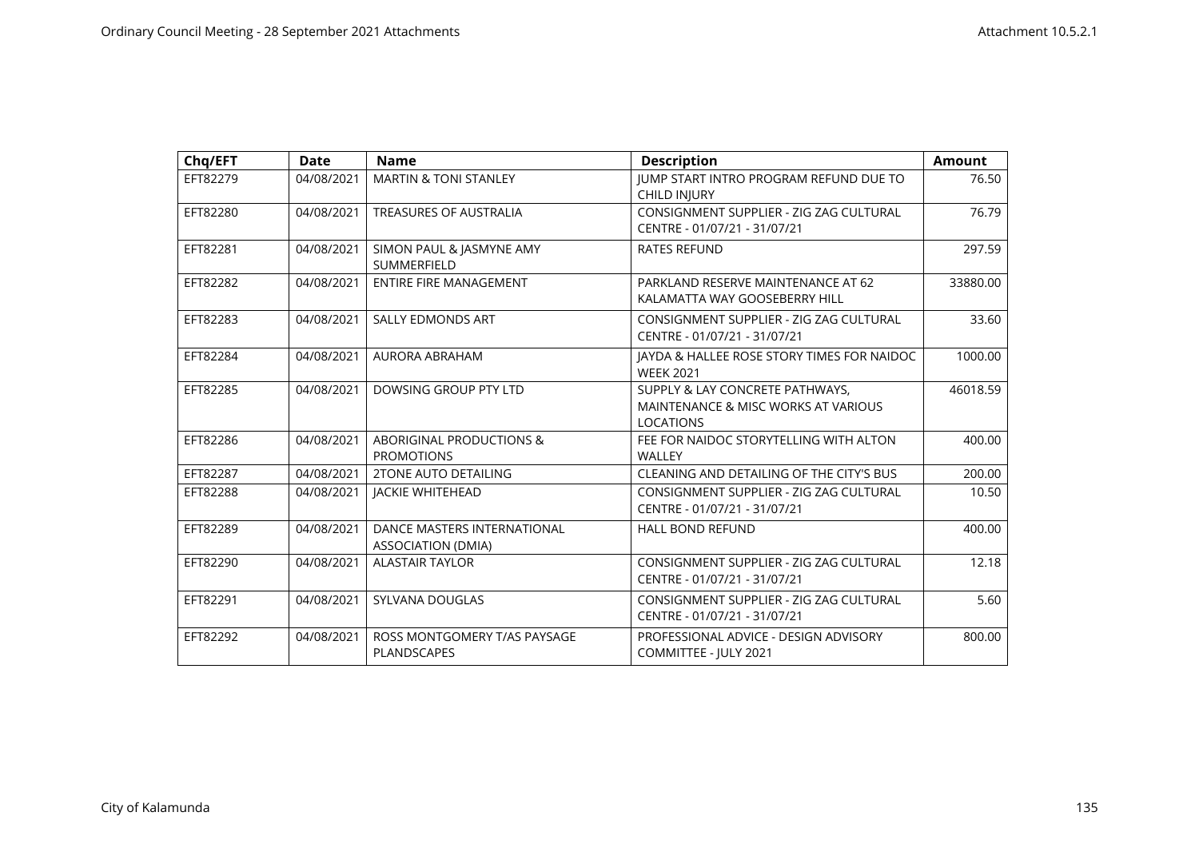| Chq/EFT  | <b>Date</b> | <b>Name</b>                                              | <b>Description</b>                                                                                    | <b>Amount</b> |
|----------|-------------|----------------------------------------------------------|-------------------------------------------------------------------------------------------------------|---------------|
| EFT82279 | 04/08/2021  | <b>MARTIN &amp; TONI STANLEY</b>                         | JUMP START INTRO PROGRAM REFUND DUE TO<br><b>CHILD INJURY</b>                                         | 76.50         |
| EFT82280 | 04/08/2021  | <b>TREASURES OF AUSTRALIA</b>                            | CONSIGNMENT SUPPLIER - ZIG ZAG CULTURAL<br>CENTRE - 01/07/21 - 31/07/21                               | 76.79         |
| EFT82281 | 04/08/2021  | SIMON PAUL & JASMYNE AMY<br>SUMMERFIELD                  | <b>RATES REFUND</b>                                                                                   | 297.59        |
| EFT82282 | 04/08/2021  | <b>ENTIRE FIRE MANAGEMENT</b>                            | PARKLAND RESERVE MAINTENANCE AT 62<br>KALAMATTA WAY GOOSEBERRY HILL                                   | 33880.00      |
| EFT82283 | 04/08/2021  | <b>SALLY EDMONDS ART</b>                                 | CONSIGNMENT SUPPLIER - ZIG ZAG CULTURAL<br>CENTRE - 01/07/21 - 31/07/21                               | 33.60         |
| EFT82284 | 04/08/2021  | <b>AURORA ABRAHAM</b>                                    | JAYDA & HALLEE ROSE STORY TIMES FOR NAIDOC<br><b>WEEK 2021</b>                                        | 1000.00       |
| EFT82285 | 04/08/2021  | DOWSING GROUP PTY LTD                                    | SUPPLY & LAY CONCRETE PATHWAYS,<br><b>MAINTENANCE &amp; MISC WORKS AT VARIOUS</b><br><b>LOCATIONS</b> | 46018.59      |
| EFT82286 | 04/08/2021  | ABORIGINAL PRODUCTIONS &<br><b>PROMOTIONS</b>            | FEE FOR NAIDOC STORYTELLING WITH ALTON<br><b>WALLEY</b>                                               | 400.00        |
| EFT82287 | 04/08/2021  | <b>2TONE AUTO DETAILING</b>                              | CLEANING AND DETAILING OF THE CITY'S BUS                                                              | 200.00        |
| EFT82288 | 04/08/2021  | <b>JACKIE WHITEHEAD</b>                                  | CONSIGNMENT SUPPLIER - ZIG ZAG CULTURAL<br>CENTRE - 01/07/21 - 31/07/21                               | 10.50         |
| EFT82289 | 04/08/2021  | DANCE MASTERS INTERNATIONAL<br><b>ASSOCIATION (DMIA)</b> | <b>HALL BOND REFUND</b>                                                                               | 400.00        |
| EFT82290 | 04/08/2021  | <b>ALASTAIR TAYLOR</b>                                   | CONSIGNMENT SUPPLIER - ZIG ZAG CULTURAL<br>CENTRE - 01/07/21 - 31/07/21                               | 12.18         |
| EFT82291 | 04/08/2021  | SYLVANA DOUGLAS                                          | CONSIGNMENT SUPPLIER - ZIG ZAG CULTURAL<br>CENTRE - 01/07/21 - 31/07/21                               | 5.60          |
| EFT82292 | 04/08/2021  | ROSS MONTGOMERY T/AS PAYSAGE<br>PLANDSCAPES              | PROFESSIONAL ADVICE - DESIGN ADVISORY<br>COMMITTEE - JULY 2021                                        | 800.00        |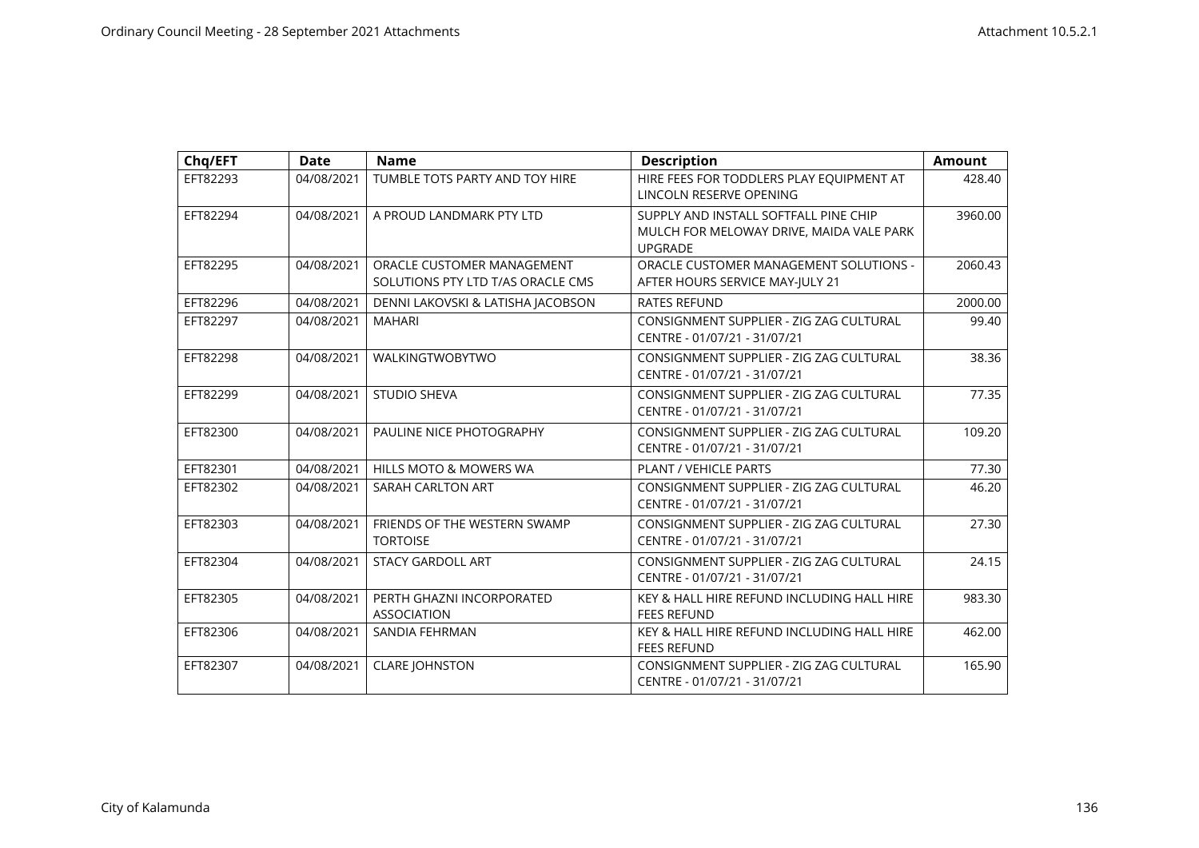| Chq/EFT  | <b>Date</b> | <b>Name</b>                                                     | <b>Description</b>                                                                                  | <b>Amount</b> |
|----------|-------------|-----------------------------------------------------------------|-----------------------------------------------------------------------------------------------------|---------------|
| EFT82293 | 04/08/2021  | TUMBLE TOTS PARTY AND TOY HIRE                                  | HIRE FEES FOR TODDLERS PLAY EQUIPMENT AT<br>LINCOLN RESERVE OPENING                                 | 428.40        |
| EFT82294 | 04/08/2021  | A PROUD LANDMARK PTY LTD                                        | SUPPLY AND INSTALL SOFTFALL PINE CHIP<br>MULCH FOR MELOWAY DRIVE, MAIDA VALE PARK<br><b>UPGRADE</b> | 3960.00       |
| EFT82295 | 04/08/2021  | ORACLE CUSTOMER MANAGEMENT<br>SOLUTIONS PTY LTD T/AS ORACLE CMS | ORACLE CUSTOMER MANAGEMENT SOLUTIONS -<br>AFTER HOURS SERVICE MAY-JULY 21                           | 2060.43       |
| EFT82296 | 04/08/2021  | DENNI LAKOVSKI & LATISHA JACOBSON                               | <b>RATES REFUND</b>                                                                                 | 2000.00       |
| EFT82297 | 04/08/2021  | <b>MAHARI</b>                                                   | CONSIGNMENT SUPPLIER - ZIG ZAG CULTURAL<br>CENTRE - 01/07/21 - 31/07/21                             | 99.40         |
| EFT82298 | 04/08/2021  | WALKINGTWOBYTWO                                                 | CONSIGNMENT SUPPLIER - ZIG ZAG CULTURAL<br>CENTRE - 01/07/21 - 31/07/21                             | 38.36         |
| EFT82299 | 04/08/2021  | <b>STUDIO SHEVA</b>                                             | CONSIGNMENT SUPPLIER - ZIG ZAG CULTURAL<br>CENTRE - 01/07/21 - 31/07/21                             | 77.35         |
| EFT82300 | 04/08/2021  | PAULINE NICE PHOTOGRAPHY                                        | CONSIGNMENT SUPPLIER - ZIG ZAG CULTURAL<br>CENTRE - 01/07/21 - 31/07/21                             | 109.20        |
| EFT82301 | 04/08/2021  | <b>HILLS MOTO &amp; MOWERS WA</b>                               | PLANT / VEHICLE PARTS                                                                               | 77.30         |
| EFT82302 | 04/08/2021  | SARAH CARLTON ART                                               | CONSIGNMENT SUPPLIER - ZIG ZAG CULTURAL<br>CENTRE - 01/07/21 - 31/07/21                             | 46.20         |
| EFT82303 | 04/08/2021  | FRIENDS OF THE WESTERN SWAMP<br><b>TORTOISE</b>                 | CONSIGNMENT SUPPLIER - ZIG ZAG CULTURAL<br>CENTRE - 01/07/21 - 31/07/21                             | 27.30         |
| EFT82304 | 04/08/2021  | <b>STACY GARDOLL ART</b>                                        | CONSIGNMENT SUPPLIER - ZIG ZAG CULTURAL<br>CENTRE - 01/07/21 - 31/07/21                             | 24.15         |
| EFT82305 | 04/08/2021  | PERTH GHAZNI INCORPORATED<br><b>ASSOCIATION</b>                 | KEY & HALL HIRE REFUND INCLUDING HALL HIRE<br><b>FEES REFUND</b>                                    | 983.30        |
| EFT82306 | 04/08/2021  | SANDIA FEHRMAN                                                  | KEY & HALL HIRE REFUND INCLUDING HALL HIRE<br><b>FEES REFUND</b>                                    | 462.00        |
| EFT82307 | 04/08/2021  | <b>CLARE JOHNSTON</b>                                           | CONSIGNMENT SUPPLIER - ZIG ZAG CULTURAL<br>CENTRE - 01/07/21 - 31/07/21                             | 165.90        |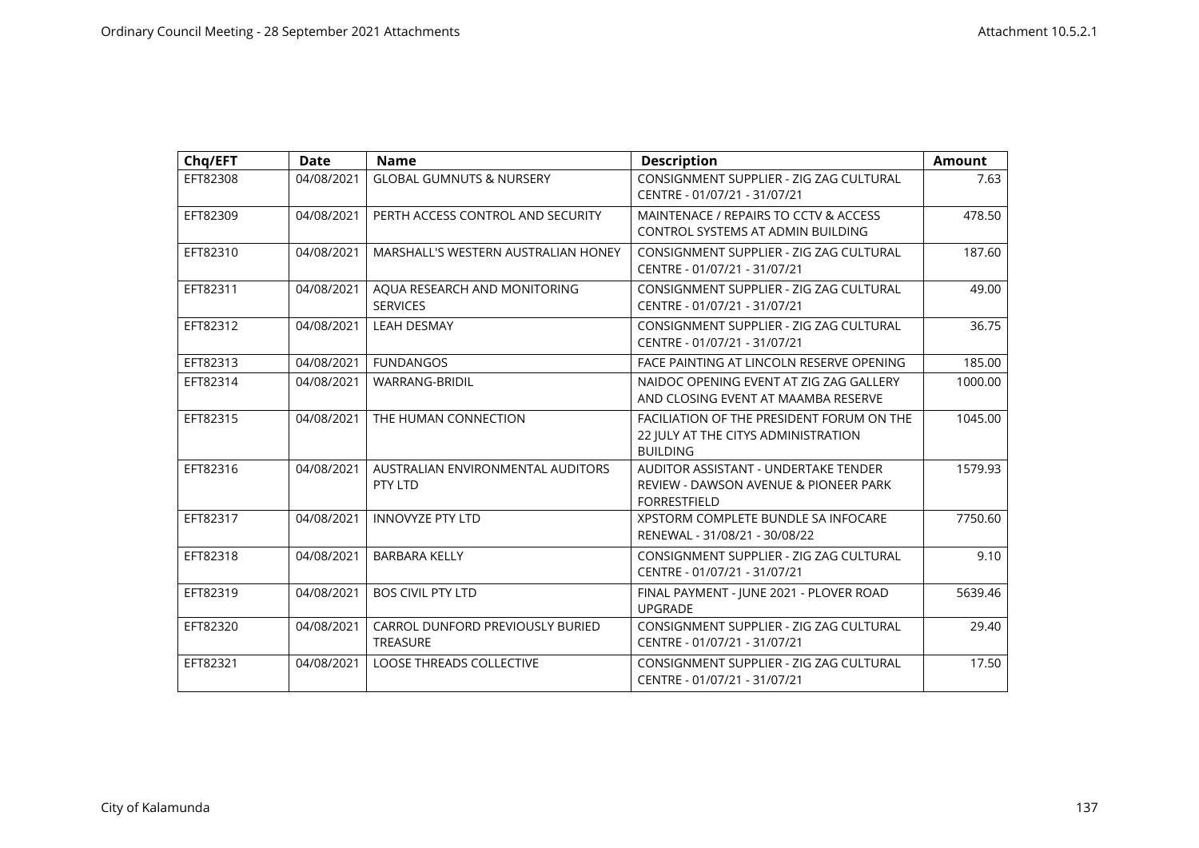| Chq/EFT  | <b>Date</b> | <b>Name</b>                                         | <b>Description</b>                                                                                          | <b>Amount</b> |
|----------|-------------|-----------------------------------------------------|-------------------------------------------------------------------------------------------------------------|---------------|
| EFT82308 | 04/08/2021  | <b>GLOBAL GUMNUTS &amp; NURSERY</b>                 | CONSIGNMENT SUPPLIER - ZIG ZAG CULTURAL<br>CENTRE - 01/07/21 - 31/07/21                                     | 7.63          |
| EFT82309 | 04/08/2021  | PERTH ACCESS CONTROL AND SECURITY                   | MAINTENACE / REPAIRS TO CCTV & ACCESS<br>CONTROL SYSTEMS AT ADMIN BUILDING                                  | 478.50        |
| EFT82310 | 04/08/2021  | MARSHALL'S WESTERN AUSTRALIAN HONEY                 | CONSIGNMENT SUPPLIER - ZIG ZAG CULTURAL<br>CENTRE - 01/07/21 - 31/07/21                                     | 187.60        |
| EFT82311 | 04/08/2021  | AQUA RESEARCH AND MONITORING<br><b>SERVICES</b>     | CONSIGNMENT SUPPLIER - ZIG ZAG CULTURAL<br>CENTRE - 01/07/21 - 31/07/21                                     | 49.00         |
| EFT82312 | 04/08/2021  | <b>LEAH DESMAY</b>                                  | CONSIGNMENT SUPPLIER - ZIG ZAG CULTURAL<br>CENTRE - 01/07/21 - 31/07/21                                     | 36.75         |
| EFT82313 | 04/08/2021  | <b>FUNDANGOS</b>                                    | FACE PAINTING AT LINCOLN RESERVE OPENING                                                                    | 185.00        |
| EFT82314 | 04/08/2021  | <b>WARRANG-BRIDIL</b>                               | NAIDOC OPENING EVENT AT ZIG ZAG GALLERY<br>AND CLOSING EVENT AT MAAMBA RESERVE                              | 1000.00       |
| EFT82315 | 04/08/2021  | THE HUMAN CONNECTION                                | FACILIATION OF THE PRESIDENT FORUM ON THE<br>22 JULY AT THE CITYS ADMINISTRATION<br><b>BUILDING</b>         | 1045.00       |
| EFT82316 | 04/08/2021  | AUSTRALIAN ENVIRONMENTAL AUDITORS<br>PTY LTD        | <b>AUDITOR ASSISTANT - UNDERTAKE TENDER</b><br>REVIEW - DAWSON AVENUE & PIONEER PARK<br><b>FORRESTFIELD</b> | 1579.93       |
| EFT82317 | 04/08/2021  | <b>INNOVYZE PTY LTD</b>                             | XPSTORM COMPLETE BUNDLE SA INFOCARE<br>RENEWAL - 31/08/21 - 30/08/22                                        | 7750.60       |
| EFT82318 | 04/08/2021  | <b>BARBARA KELLY</b>                                | CONSIGNMENT SUPPLIER - ZIG ZAG CULTURAL<br>CENTRE - 01/07/21 - 31/07/21                                     | 9.10          |
| EFT82319 | 04/08/2021  | <b>BOS CIVIL PTY LTD</b>                            | FINAL PAYMENT - JUNE 2021 - PLOVER ROAD<br><b>UPGRADE</b>                                                   | 5639.46       |
| EFT82320 | 04/08/2021  | CARROL DUNFORD PREVIOUSLY BURIED<br><b>TREASURE</b> | CONSIGNMENT SUPPLIER - ZIG ZAG CULTURAL<br>CENTRE - 01/07/21 - 31/07/21                                     | 29.40         |
| EFT82321 | 04/08/2021  | <b>LOOSE THREADS COLLECTIVE</b>                     | CONSIGNMENT SUPPLIER - ZIG ZAG CULTURAL<br>CENTRE - 01/07/21 - 31/07/21                                     | 17.50         |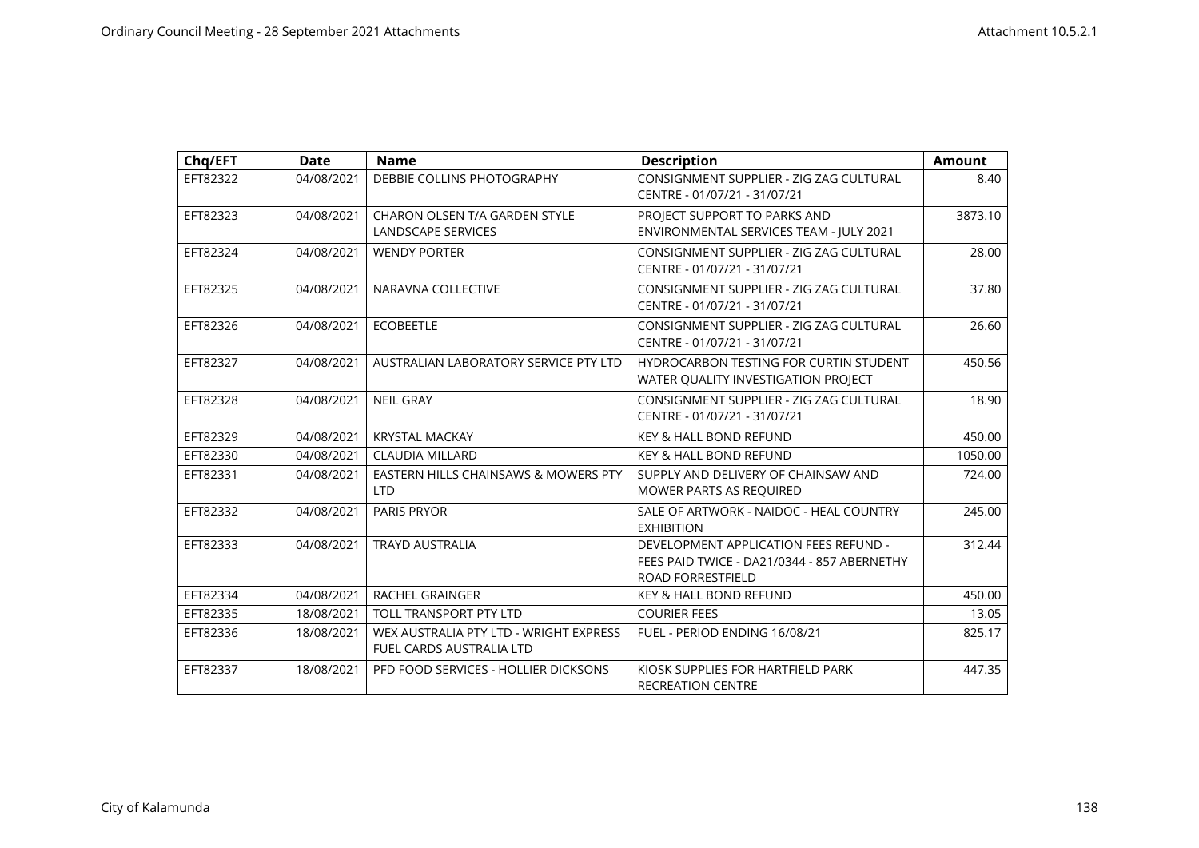| Chq/EFT  | <b>Date</b> | <b>Name</b>                                                               | <b>Description</b>                                                                                               | <b>Amount</b> |
|----------|-------------|---------------------------------------------------------------------------|------------------------------------------------------------------------------------------------------------------|---------------|
| EFT82322 | 04/08/2021  | DEBBIE COLLINS PHOTOGRAPHY                                                | CONSIGNMENT SUPPLIER - ZIG ZAG CULTURAL<br>CENTRE - 01/07/21 - 31/07/21                                          | 8.40          |
| EFT82323 | 04/08/2021  | CHARON OLSEN T/A GARDEN STYLE<br><b>LANDSCAPE SERVICES</b>                | PROJECT SUPPORT TO PARKS AND<br>ENVIRONMENTAL SERVICES TEAM - JULY 2021                                          | 3873.10       |
| EFT82324 | 04/08/2021  | <b>WENDY PORTER</b>                                                       | CONSIGNMENT SUPPLIER - ZIG ZAG CULTURAL<br>CENTRE - 01/07/21 - 31/07/21                                          | 28.00         |
| EFT82325 | 04/08/2021  | NARAVNA COLLECTIVE                                                        | CONSIGNMENT SUPPLIER - ZIG ZAG CULTURAL<br>CENTRE - 01/07/21 - 31/07/21                                          | 37.80         |
| EFT82326 | 04/08/2021  | <b>ECOBEETLE</b>                                                          | CONSIGNMENT SUPPLIER - ZIG ZAG CULTURAL<br>CENTRE - 01/07/21 - 31/07/21                                          | 26.60         |
| EFT82327 | 04/08/2021  | AUSTRALIAN LABORATORY SERVICE PTY LTD                                     | HYDROCARBON TESTING FOR CURTIN STUDENT<br>WATER OUALITY INVESTIGATION PROJECT                                    | 450.56        |
| EFT82328 | 04/08/2021  | <b>NEIL GRAY</b>                                                          | CONSIGNMENT SUPPLIER - ZIG ZAG CULTURAL<br>CENTRE - 01/07/21 - 31/07/21                                          | 18.90         |
| EFT82329 | 04/08/2021  | <b>KRYSTAL MACKAY</b>                                                     | <b>KEY &amp; HALL BOND REFUND</b>                                                                                | 450.00        |
| EFT82330 | 04/08/2021  | <b>CLAUDIA MILLARD</b>                                                    | <b>KEY &amp; HALL BOND REFUND</b>                                                                                | 1050.00       |
| EFT82331 | 04/08/2021  | EASTERN HILLS CHAINSAWS & MOWERS PTY<br><b>LTD</b>                        | SUPPLY AND DELIVERY OF CHAINSAW AND<br>MOWER PARTS AS REQUIRED                                                   | 724.00        |
| EFT82332 | 04/08/2021  | <b>PARIS PRYOR</b>                                                        | SALE OF ARTWORK - NAIDOC - HEAL COUNTRY<br><b>EXHIBITION</b>                                                     | 245.00        |
| EFT82333 | 04/08/2021  | <b>TRAYD AUSTRALIA</b>                                                    | DEVELOPMENT APPLICATION FEES REFUND -<br>FEES PAID TWICE - DA21/0344 - 857 ABERNETHY<br><b>ROAD FORRESTFIELD</b> | 312.44        |
| EFT82334 | 04/08/2021  | RACHEL GRAINGER                                                           | <b>KEY &amp; HALL BOND REFUND</b>                                                                                | 450.00        |
| EFT82335 | 18/08/2021  | <b>TOLL TRANSPORT PTY LTD</b>                                             | <b>COURIER FEES</b>                                                                                              | 13.05         |
| EFT82336 | 18/08/2021  | WEX AUSTRALIA PTY LTD - WRIGHT EXPRESS<br><b>FUEL CARDS AUSTRALIA LTD</b> | FUEL - PERIOD ENDING 16/08/21                                                                                    | 825.17        |
| EFT82337 | 18/08/2021  | PFD FOOD SERVICES - HOLLIER DICKSONS                                      | KIOSK SUPPLIES FOR HARTFIELD PARK<br><b>RECREATION CENTRE</b>                                                    | 447.35        |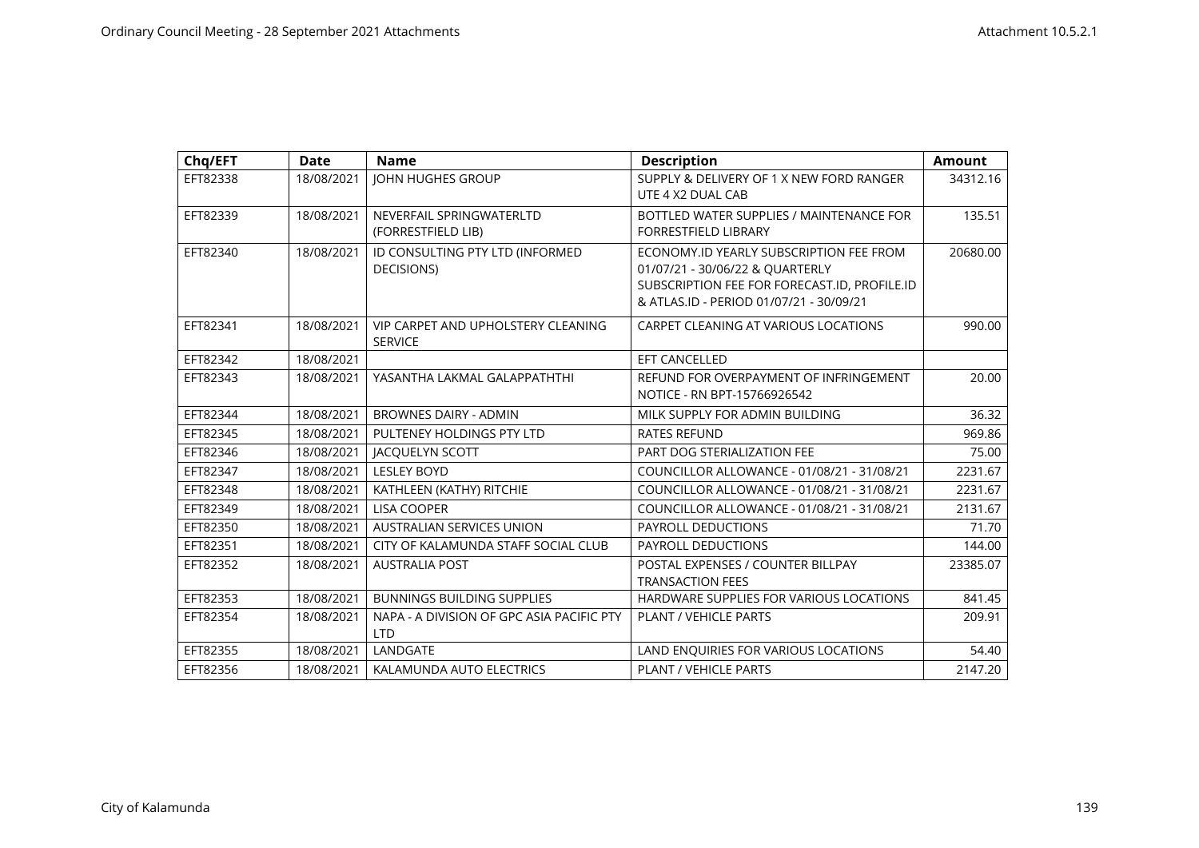| Chq/EFT  | <b>Date</b> | <b>Name</b>                                             | <b>Description</b>                                                                                                                                                    | <b>Amount</b> |
|----------|-------------|---------------------------------------------------------|-----------------------------------------------------------------------------------------------------------------------------------------------------------------------|---------------|
| EFT82338 | 18/08/2021  | <b>JOHN HUGHES GROUP</b>                                | SUPPLY & DELIVERY OF 1 X NEW FORD RANGER<br>UTE 4 X2 DUAL CAB                                                                                                         | 34312.16      |
| EFT82339 | 18/08/2021  | NEVERFAIL SPRINGWATERLTD<br>(FORRESTFIELD LIB)          | BOTTLED WATER SUPPLIES / MAINTENANCE FOR<br><b>FORRESTFIELD LIBRARY</b>                                                                                               | 135.51        |
| EFT82340 | 18/08/2021  | ID CONSULTING PTY LTD (INFORMED<br><b>DECISIONS</b>     | ECONOMY.ID YEARLY SUBSCRIPTION FEE FROM<br>01/07/21 - 30/06/22 & QUARTERLY<br>SUBSCRIPTION FEE FOR FORECAST.ID, PROFILE.ID<br>& ATLAS.ID - PERIOD 01/07/21 - 30/09/21 | 20680.00      |
| EFT82341 | 18/08/2021  | VIP CARPET AND UPHOLSTERY CLEANING<br><b>SERVICE</b>    | CARPET CLEANING AT VARIOUS LOCATIONS                                                                                                                                  | 990.00        |
| EFT82342 | 18/08/2021  |                                                         | EFT CANCELLED                                                                                                                                                         |               |
| EFT82343 | 18/08/2021  | YASANTHA LAKMAL GALAPPATHTHI                            | REFUND FOR OVERPAYMENT OF INFRINGEMENT<br>NOTICE - RN BPT-15766926542                                                                                                 | 20.00         |
| EFT82344 | 18/08/2021  | <b>BROWNES DAIRY - ADMIN</b>                            | MILK SUPPLY FOR ADMIN BUILDING                                                                                                                                        | 36.32         |
| EFT82345 | 18/08/2021  | PULTENEY HOLDINGS PTY LTD                               | <b>RATES REFUND</b>                                                                                                                                                   | 969.86        |
| EFT82346 | 18/08/2021  | <b>JACQUELYN SCOTT</b>                                  | PART DOG STERIALIZATION FEE                                                                                                                                           | 75.00         |
| EFT82347 | 18/08/2021  | <b>LESLEY BOYD</b>                                      | COUNCILLOR ALLOWANCE - 01/08/21 - 31/08/21                                                                                                                            | 2231.67       |
| EFT82348 | 18/08/2021  | KATHLEEN (KATHY) RITCHIE                                | COUNCILLOR ALLOWANCE - 01/08/21 - 31/08/21                                                                                                                            | 2231.67       |
| EFT82349 | 18/08/2021  | <b>LISA COOPER</b>                                      | COUNCILLOR ALLOWANCE - 01/08/21 - 31/08/21                                                                                                                            | 2131.67       |
| EFT82350 | 18/08/2021  | <b>AUSTRALIAN SERVICES UNION</b>                        | PAYROLL DEDUCTIONS                                                                                                                                                    | 71.70         |
| EFT82351 | 18/08/2021  | CITY OF KALAMUNDA STAFF SOCIAL CLUB                     | PAYROLL DEDUCTIONS                                                                                                                                                    | 144.00        |
| EFT82352 | 18/08/2021  | <b>AUSTRALIA POST</b>                                   | POSTAL EXPENSES / COUNTER BILLPAY<br><b>TRANSACTION FEES</b>                                                                                                          | 23385.07      |
| EFT82353 | 18/08/2021  | <b>BUNNINGS BUILDING SUPPLIES</b>                       | HARDWARE SUPPLIES FOR VARIOUS LOCATIONS                                                                                                                               | 841.45        |
| EFT82354 | 18/08/2021  | NAPA - A DIVISION OF GPC ASIA PACIFIC PTY<br><b>LTD</b> | <b>PLANT / VEHICLE PARTS</b>                                                                                                                                          | 209.91        |
| EFT82355 | 18/08/2021  | LANDGATE                                                | LAND ENQUIRIES FOR VARIOUS LOCATIONS                                                                                                                                  | 54.40         |
| EFT82356 | 18/08/2021  | KALAMUNDA AUTO ELECTRICS                                | PLANT / VEHICLE PARTS                                                                                                                                                 | 2147.20       |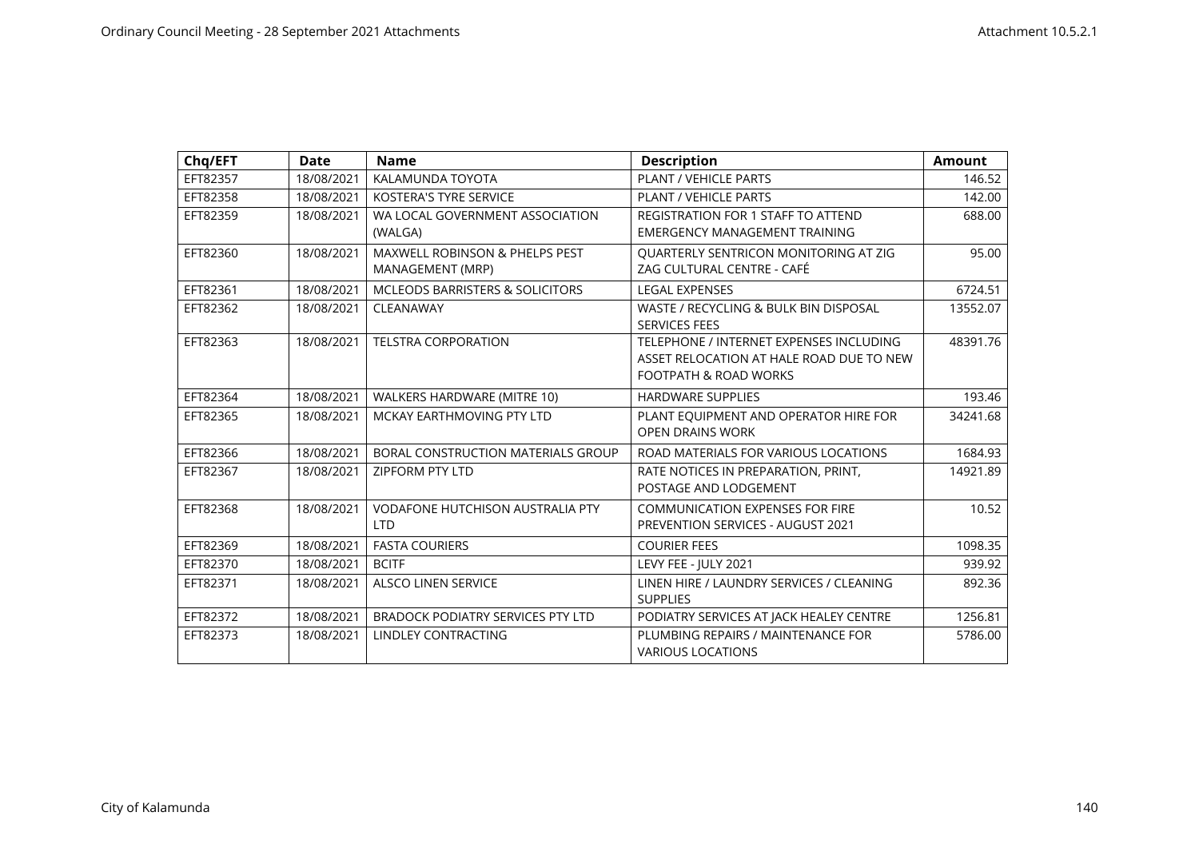| Chq/EFT  | <b>Date</b> | <b>Name</b>                                                   | <b>Description</b>                                                                                           | <b>Amount</b> |
|----------|-------------|---------------------------------------------------------------|--------------------------------------------------------------------------------------------------------------|---------------|
| EFT82357 | 18/08/2021  | KALAMUNDA TOYOTA                                              | PLANT / VEHICLE PARTS                                                                                        | 146.52        |
| EFT82358 | 18/08/2021  | <b>KOSTERA'S TYRE SERVICE</b>                                 | PLANT / VEHICLE PARTS                                                                                        | 142.00        |
| EFT82359 | 18/08/2021  | WA LOCAL GOVERNMENT ASSOCIATION<br>(WALGA)                    | <b>REGISTRATION FOR 1 STAFF TO ATTEND</b><br><b>EMERGENCY MANAGEMENT TRAINING</b>                            | 688.00        |
| EFT82360 | 18/08/2021  | <b>MAXWELL ROBINSON &amp; PHELPS PEST</b><br>MANAGEMENT (MRP) | QUARTERLY SENTRICON MONITORING AT ZIG<br>ZAG CULTURAL CENTRE - CAFÉ                                          | 95.00         |
| EFT82361 | 18/08/2021  | <b>MCLEODS BARRISTERS &amp; SOLICITORS</b>                    | <b>LEGAL EXPENSES</b>                                                                                        | 6724.51       |
| EFT82362 | 18/08/2021  | CLEANAWAY                                                     | WASTE / RECYCLING & BULK BIN DISPOSAL<br><b>SERVICES FEES</b>                                                | 13552.07      |
| EFT82363 | 18/08/2021  | <b>TELSTRA CORPORATION</b>                                    | TELEPHONE / INTERNET EXPENSES INCLUDING<br>ASSET RELOCATION AT HALE ROAD DUE TO NEW<br>FOOTPATH & ROAD WORKS | 48391.76      |
| EFT82364 | 18/08/2021  | WALKERS HARDWARE (MITRE 10)                                   | <b>HARDWARE SUPPLIES</b>                                                                                     | 193.46        |
| EFT82365 | 18/08/2021  | MCKAY EARTHMOVING PTY LTD                                     | PLANT EQUIPMENT AND OPERATOR HIRE FOR<br><b>OPEN DRAINS WORK</b>                                             | 34241.68      |
| EFT82366 | 18/08/2021  | BORAL CONSTRUCTION MATERIALS GROUP                            | ROAD MATERIALS FOR VARIOUS LOCATIONS                                                                         | 1684.93       |
| EFT82367 | 18/08/2021  | <b>ZIPFORM PTY LTD</b>                                        | RATE NOTICES IN PREPARATION, PRINT,<br>POSTAGE AND LODGEMENT                                                 | 14921.89      |
| EFT82368 | 18/08/2021  | <b>VODAFONE HUTCHISON AUSTRALIA PTY</b><br><b>LTD</b>         | <b>COMMUNICATION EXPENSES FOR FIRE</b><br>PREVENTION SERVICES - AUGUST 2021                                  | 10.52         |
| EFT82369 | 18/08/2021  | <b>FASTA COURIERS</b>                                         | <b>COURIER FEES</b>                                                                                          | 1098.35       |
| EFT82370 | 18/08/2021  | <b>BCITF</b>                                                  | LEVY FEE - IULY 2021                                                                                         | 939.92        |
| EFT82371 | 18/08/2021  | <b>ALSCO LINEN SERVICE</b>                                    | LINEN HIRE / LAUNDRY SERVICES / CLEANING<br><b>SUPPLIES</b>                                                  | 892.36        |
| EFT82372 | 18/08/2021  | <b>BRADOCK PODIATRY SERVICES PTY LTD</b>                      | PODIATRY SERVICES AT JACK HEALEY CENTRE                                                                      | 1256.81       |
| EFT82373 | 18/08/2021  | LINDLEY CONTRACTING                                           | PLUMBING REPAIRS / MAINTENANCE FOR<br><b>VARIOUS LOCATIONS</b>                                               | 5786.00       |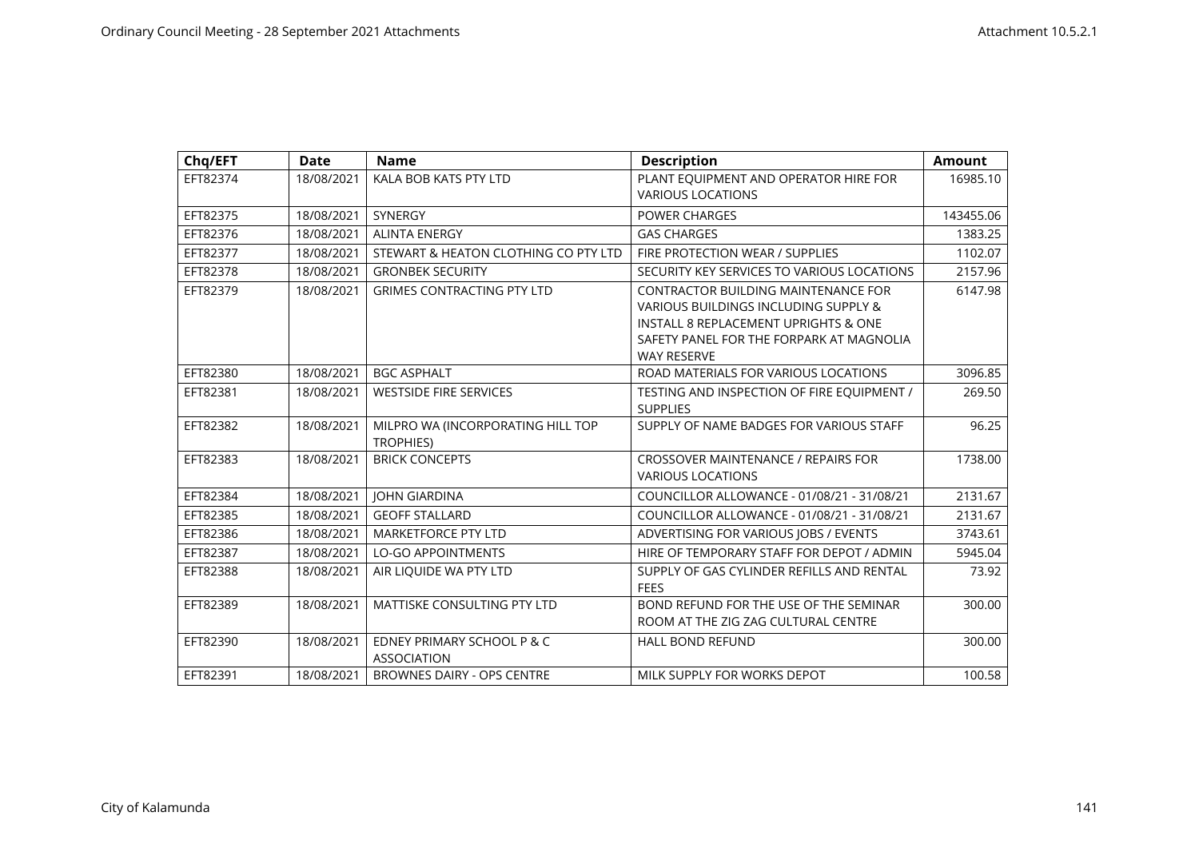| Chq/EFT  | <b>Date</b> | <b>Name</b>                                           | <b>Description</b>                                                                                                                                                                           | <b>Amount</b> |
|----------|-------------|-------------------------------------------------------|----------------------------------------------------------------------------------------------------------------------------------------------------------------------------------------------|---------------|
| EFT82374 | 18/08/2021  | KALA BOB KATS PTY LTD                                 | PLANT EQUIPMENT AND OPERATOR HIRE FOR<br><b>VARIOUS LOCATIONS</b>                                                                                                                            | 16985.10      |
| EFT82375 | 18/08/2021  | SYNERGY                                               | <b>POWER CHARGES</b>                                                                                                                                                                         | 143455.06     |
| EFT82376 | 18/08/2021  | <b>ALINTA ENERGY</b>                                  | <b>GAS CHARGES</b>                                                                                                                                                                           | 1383.25       |
| EFT82377 | 18/08/2021  | STEWART & HEATON CLOTHING CO PTY LTD                  | FIRE PROTECTION WEAR / SUPPLIES                                                                                                                                                              | 1102.07       |
| EFT82378 | 18/08/2021  | <b>GRONBEK SECURITY</b>                               | SECURITY KEY SERVICES TO VARIOUS LOCATIONS                                                                                                                                                   | 2157.96       |
| EFT82379 | 18/08/2021  | <b>GRIMES CONTRACTING PTY LTD</b>                     | <b>CONTRACTOR BUILDING MAINTENANCE FOR</b><br>VARIOUS BUILDINGS INCLUDING SUPPLY &<br>INSTALL 8 REPLACEMENT UPRIGHTS & ONE<br>SAFETY PANEL FOR THE FORPARK AT MAGNOLIA<br><b>WAY RESERVE</b> | 6147.98       |
| EFT82380 | 18/08/2021  | <b>BGC ASPHALT</b>                                    | ROAD MATERIALS FOR VARIOUS LOCATIONS                                                                                                                                                         | 3096.85       |
| EFT82381 | 18/08/2021  | <b>WESTSIDE FIRE SERVICES</b>                         | TESTING AND INSPECTION OF FIRE EQUIPMENT /<br><b>SUPPLIES</b>                                                                                                                                | 269.50        |
| EFT82382 | 18/08/2021  | MILPRO WA (INCORPORATING HILL TOP<br><b>TROPHIES)</b> | SUPPLY OF NAME BADGES FOR VARIOUS STAFF                                                                                                                                                      | 96.25         |
| EFT82383 | 18/08/2021  | <b>BRICK CONCEPTS</b>                                 | <b>CROSSOVER MAINTENANCE / REPAIRS FOR</b><br><b>VARIOUS LOCATIONS</b>                                                                                                                       | 1738.00       |
| EFT82384 | 18/08/2021  | <b>JOHN GIARDINA</b>                                  | COUNCILLOR ALLOWANCE - 01/08/21 - 31/08/21                                                                                                                                                   | 2131.67       |
| EFT82385 | 18/08/2021  | <b>GEOFF STALLARD</b>                                 | COUNCILLOR ALLOWANCE - 01/08/21 - 31/08/21                                                                                                                                                   | 2131.67       |
| EFT82386 | 18/08/2021  | <b>MARKETFORCE PTY LTD</b>                            | ADVERTISING FOR VARIOUS JOBS / EVENTS                                                                                                                                                        | 3743.61       |
| EFT82387 | 18/08/2021  | <b>LO-GO APPOINTMENTS</b>                             | HIRE OF TEMPORARY STAFF FOR DEPOT / ADMIN                                                                                                                                                    | 5945.04       |
| EFT82388 | 18/08/2021  | AIR LIQUIDE WA PTY LTD                                | SUPPLY OF GAS CYLINDER REFILLS AND RENTAL<br><b>FEES</b>                                                                                                                                     | 73.92         |
| EFT82389 | 18/08/2021  | <b>MATTISKE CONSULTING PTY LTD</b>                    | BOND REFUND FOR THE USE OF THE SEMINAR<br>ROOM AT THE ZIG ZAG CULTURAL CENTRE                                                                                                                | 300.00        |
| EFT82390 | 18/08/2021  | EDNEY PRIMARY SCHOOL P & C<br><b>ASSOCIATION</b>      | HALL BOND REFUND                                                                                                                                                                             | 300.00        |
| EFT82391 | 18/08/2021  | <b>BROWNES DAIRY - OPS CENTRE</b>                     | MILK SUPPLY FOR WORKS DEPOT                                                                                                                                                                  | 100.58        |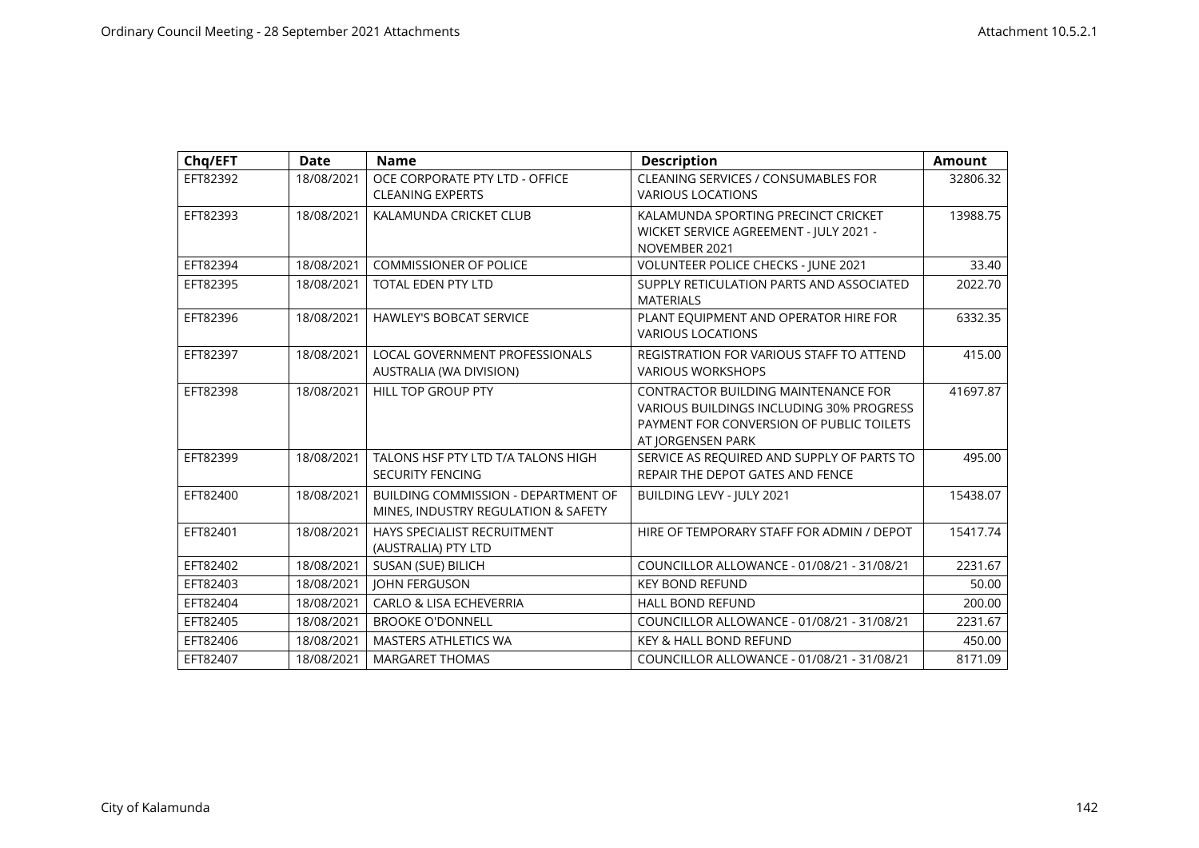| Chq/EFT  | <b>Date</b> | <b>Name</b>                                                                | <b>Description</b>                                                                                                                               | <b>Amount</b> |
|----------|-------------|----------------------------------------------------------------------------|--------------------------------------------------------------------------------------------------------------------------------------------------|---------------|
| EFT82392 | 18/08/2021  | OCE CORPORATE PTY LTD - OFFICE<br><b>CLEANING EXPERTS</b>                  | CLEANING SERVICES / CONSUMABLES FOR<br><b>VARIOUS LOCATIONS</b>                                                                                  | 32806.32      |
| EFT82393 | 18/08/2021  | KALAMUNDA CRICKET CLUB                                                     | KALAMUNDA SPORTING PRECINCT CRICKET<br>WICKET SERVICE AGREEMENT - JULY 2021 -<br>NOVEMBER 2021                                                   | 13988.75      |
| EFT82394 | 18/08/2021  | <b>COMMISSIONER OF POLICE</b>                                              | VOLUNTEER POLICE CHECKS - JUNE 2021                                                                                                              | 33.40         |
| EFT82395 | 18/08/2021  | <b>TOTAL EDEN PTY LTD</b>                                                  | SUPPLY RETICULATION PARTS AND ASSOCIATED<br><b>MATERIALS</b>                                                                                     | 2022.70       |
| EFT82396 | 18/08/2021  | <b>HAWLEY'S BOBCAT SERVICE</b>                                             | PLANT EQUIPMENT AND OPERATOR HIRE FOR<br><b>VARIOUS LOCATIONS</b>                                                                                | 6332.35       |
| EFT82397 | 18/08/2021  | <b>LOCAL GOVERNMENT PROFESSIONALS</b><br>AUSTRALIA (WA DIVISION)           | <b>REGISTRATION FOR VARIOUS STAFF TO ATTEND</b><br><b>VARIOUS WORKSHOPS</b>                                                                      | 415.00        |
| EFT82398 | 18/08/2021  | HILL TOP GROUP PTY                                                         | CONTRACTOR BUILDING MAINTENANCE FOR<br>VARIOUS BUILDINGS INCLUDING 30% PROGRESS<br>PAYMENT FOR CONVERSION OF PUBLIC TOILETS<br>AT JORGENSEN PARK | 41697.87      |
| EFT82399 | 18/08/2021  | TALONS HSF PTY LTD T/A TALONS HIGH<br><b>SECURITY FENCING</b>              | SERVICE AS REQUIRED AND SUPPLY OF PARTS TO<br>REPAIR THE DEPOT GATES AND FENCE                                                                   | 495.00        |
| EFT82400 | 18/08/2021  | BUILDING COMMISSION - DEPARTMENT OF<br>MINES, INDUSTRY REGULATION & SAFETY | BUILDING LEVY - JULY 2021                                                                                                                        | 15438.07      |
| EFT82401 | 18/08/2021  | HAYS SPECIALIST RECRUITMENT<br>(AUSTRALIA) PTY LTD                         | HIRE OF TEMPORARY STAFF FOR ADMIN / DEPOT                                                                                                        | 15417.74      |
| EFT82402 | 18/08/2021  | SUSAN (SUE) BILICH                                                         | COUNCILLOR ALLOWANCE - 01/08/21 - 31/08/21                                                                                                       | 2231.67       |
| EFT82403 | 18/08/2021  | <b>JOHN FERGUSON</b>                                                       | <b>KEY BOND REFUND</b>                                                                                                                           | 50.00         |
| EFT82404 | 18/08/2021  | <b>CARLO &amp; LISA ECHEVERRIA</b>                                         | <b>HALL BOND REFUND</b>                                                                                                                          | 200.00        |
| EFT82405 | 18/08/2021  | <b>BROOKE O'DONNELL</b>                                                    | COUNCILLOR ALLOWANCE - 01/08/21 - 31/08/21                                                                                                       | 2231.67       |
| EFT82406 | 18/08/2021  | <b>MASTERS ATHLETICS WA</b>                                                | <b>KEY &amp; HALL BOND REFUND</b>                                                                                                                | 450.00        |
| EFT82407 | 18/08/2021  | <b>MARGARET THOMAS</b>                                                     | COUNCILLOR ALLOWANCE - 01/08/21 - 31/08/21                                                                                                       | 8171.09       |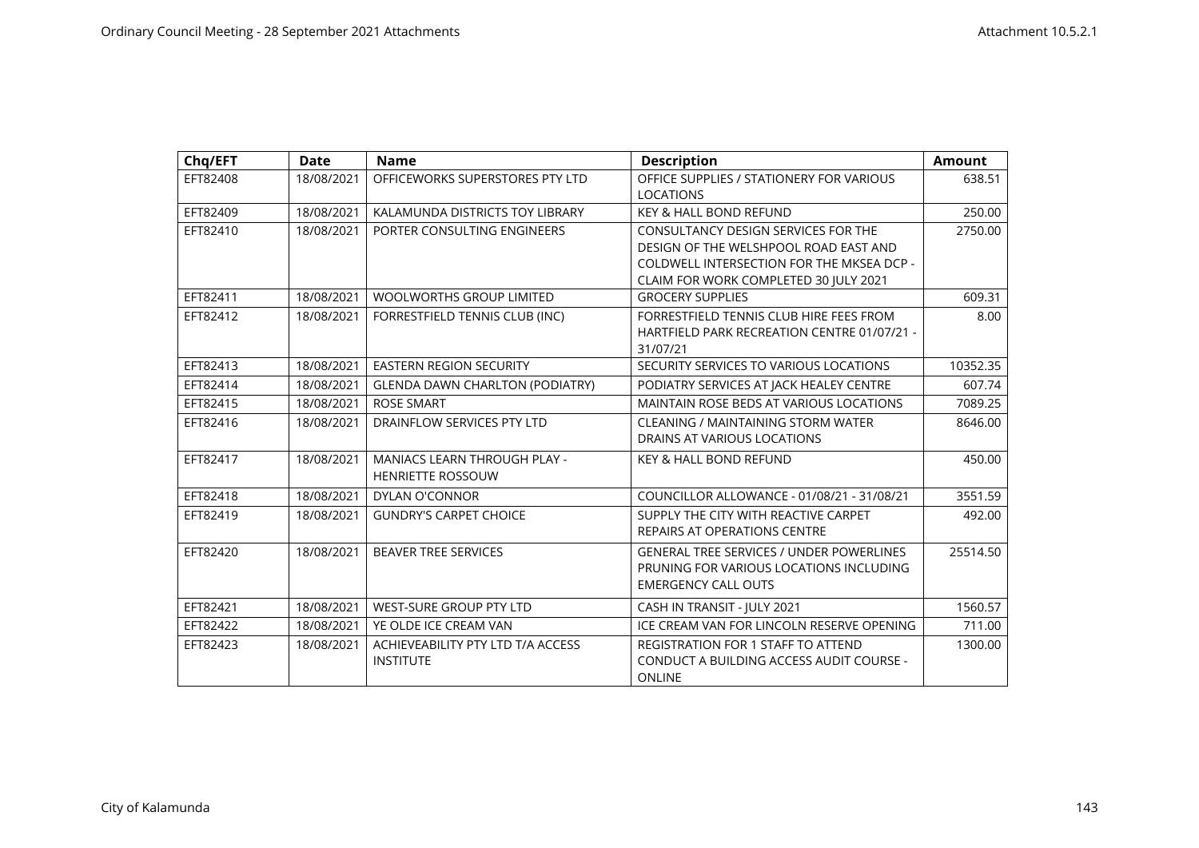| Chq/EFT  | <b>Date</b> | <b>Name</b>                            | <b>Description</b>                                           | <b>Amount</b> |
|----------|-------------|----------------------------------------|--------------------------------------------------------------|---------------|
| EFT82408 | 18/08/2021  | OFFICEWORKS SUPERSTORES PTY LTD        | OFFICE SUPPLIES / STATIONERY FOR VARIOUS<br><b>LOCATIONS</b> | 638.51        |
| EFT82409 | 18/08/2021  | KALAMUNDA DISTRICTS TOY LIBRARY        | <b>KEY &amp; HALL BOND REFUND</b>                            | 250.00        |
| EFT82410 | 18/08/2021  | PORTER CONSULTING ENGINEERS            | <b>CONSULTANCY DESIGN SERVICES FOR THE</b>                   | 2750.00       |
|          |             |                                        | DESIGN OF THE WELSHPOOL ROAD EAST AND                        |               |
|          |             |                                        | COLDWELL INTERSECTION FOR THE MKSEA DCP -                    |               |
|          |             |                                        | CLAIM FOR WORK COMPLETED 30 JULY 2021                        |               |
| EFT82411 | 18/08/2021  | <b>WOOLWORTHS GROUP LIMITED</b>        | <b>GROCERY SUPPLIES</b>                                      | 609.31        |
| EFT82412 | 18/08/2021  | FORRESTFIELD TENNIS CLUB (INC)         | FORRESTFIELD TENNIS CLUB HIRE FEES FROM                      | 8.00          |
|          |             |                                        | HARTFIELD PARK RECREATION CENTRE 01/07/21 -<br>31/07/21      |               |
| EFT82413 | 18/08/2021  | <b>EASTERN REGION SECURITY</b>         | SECURITY SERVICES TO VARIOUS LOCATIONS                       | 10352.35      |
| EFT82414 | 18/08/2021  | <b>GLENDA DAWN CHARLTON (PODIATRY)</b> | PODIATRY SERVICES AT JACK HEALEY CENTRE                      | 607.74        |
| EFT82415 | 18/08/2021  | <b>ROSE SMART</b>                      | MAINTAIN ROSE BEDS AT VARIOUS LOCATIONS                      | 7089.25       |
| EFT82416 | 18/08/2021  | DRAINFLOW SERVICES PTY LTD             | <b>CLEANING / MAINTAINING STORM WATER</b>                    | 8646.00       |
|          |             |                                        | DRAINS AT VARIOUS LOCATIONS                                  |               |
| EFT82417 | 18/08/2021  | <b>MANIACS LEARN THROUGH PLAY -</b>    | <b>KEY &amp; HALL BOND REFUND</b>                            | 450.00        |
|          |             | <b>HENRIETTE ROSSOUW</b>               |                                                              |               |
| EFT82418 | 18/08/2021  | DYLAN O'CONNOR                         | COUNCILLOR ALLOWANCE - 01/08/21 - 31/08/21                   | 3551.59       |
| EFT82419 | 18/08/2021  | <b>GUNDRY'S CARPET CHOICE</b>          | SUPPLY THE CITY WITH REACTIVE CARPET                         | 492.00        |
|          |             |                                        | <b>REPAIRS AT OPERATIONS CENTRE</b>                          |               |
| EFT82420 | 18/08/2021  | <b>BEAVER TREE SERVICES</b>            | <b>GENERAL TREE SERVICES / UNDER POWERLINES</b>              | 25514.50      |
|          |             |                                        | PRUNING FOR VARIOUS LOCATIONS INCLUDING                      |               |
|          |             |                                        | <b>EMERGENCY CALL OUTS</b>                                   |               |
| EFT82421 | 18/08/2021  | <b>WEST-SURE GROUP PTY LTD</b>         | CASH IN TRANSIT - JULY 2021                                  | 1560.57       |
| EFT82422 | 18/08/2021  | YE OLDE ICE CREAM VAN                  | ICE CREAM VAN FOR LINCOLN RESERVE OPENING                    | 711.00        |
| EFT82423 | 18/08/2021  | ACHIEVEABILITY PTY LTD T/A ACCESS      | <b>REGISTRATION FOR 1 STAFF TO ATTEND</b>                    | 1300.00       |
|          |             | <b>INSTITUTE</b>                       | CONDUCT A BUILDING ACCESS AUDIT COURSE -                     |               |
|          |             |                                        | <b>ONLINE</b>                                                |               |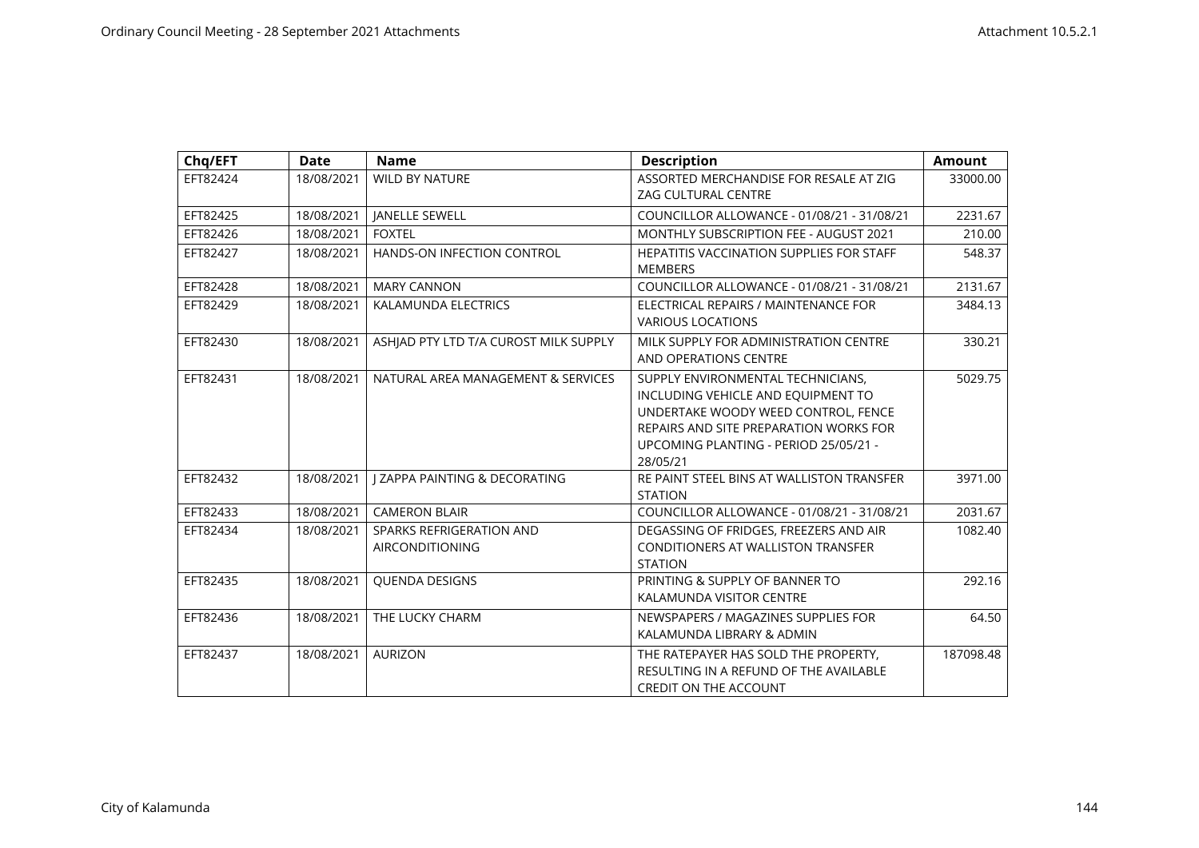| Chq/EFT  | <b>Date</b> | <b>Name</b>                                        | <b>Description</b>                                                                                                                                                                                            | <b>Amount</b> |
|----------|-------------|----------------------------------------------------|---------------------------------------------------------------------------------------------------------------------------------------------------------------------------------------------------------------|---------------|
| EFT82424 | 18/08/2021  | <b>WILD BY NATURE</b>                              | ASSORTED MERCHANDISE FOR RESALE AT ZIG<br><b>ZAG CULTURAL CENTRE</b>                                                                                                                                          | 33000.00      |
| EFT82425 | 18/08/2021  | <b>JANELLE SEWELL</b>                              | COUNCILLOR ALLOWANCE - 01/08/21 - 31/08/21                                                                                                                                                                    | 2231.67       |
| EFT82426 | 18/08/2021  | <b>FOXTEL</b>                                      | <b>MONTHLY SUBSCRIPTION FEE - AUGUST 2021</b>                                                                                                                                                                 | 210.00        |
| EFT82427 | 18/08/2021  | HANDS-ON INFECTION CONTROL                         | <b>HEPATITIS VACCINATION SUPPLIES FOR STAFF</b><br><b>MEMBERS</b>                                                                                                                                             | 548.37        |
| EFT82428 | 18/08/2021  | <b>MARY CANNON</b>                                 | COUNCILLOR ALLOWANCE - 01/08/21 - 31/08/21                                                                                                                                                                    | 2131.67       |
| EFT82429 | 18/08/2021  | KALAMUNDA ELECTRICS                                | ELECTRICAL REPAIRS / MAINTENANCE FOR<br><b>VARIOUS LOCATIONS</b>                                                                                                                                              | 3484.13       |
| EFT82430 | 18/08/2021  | ASHIAD PTY LTD T/A CUROST MILK SUPPLY              | MILK SUPPLY FOR ADMINISTRATION CENTRE<br>AND OPERATIONS CENTRE                                                                                                                                                | 330.21        |
| EFT82431 | 18/08/2021  | NATURAL AREA MANAGEMENT & SERVICES                 | SUPPLY ENVIRONMENTAL TECHNICIANS.<br>INCLUDING VEHICLE AND EQUIPMENT TO<br>UNDERTAKE WOODY WEED CONTROL, FENCE<br>REPAIRS AND SITE PREPARATION WORKS FOR<br>UPCOMING PLANTING - PERIOD 25/05/21 -<br>28/05/21 | 5029.75       |
| EFT82432 | 18/08/2021  | <b>I ZAPPA PAINTING &amp; DECORATING</b>           | RE PAINT STEEL BINS AT WALLISTON TRANSFER<br><b>STATION</b>                                                                                                                                                   | 3971.00       |
| EFT82433 | 18/08/2021  | <b>CAMERON BLAIR</b>                               | COUNCILLOR ALLOWANCE - 01/08/21 - 31/08/21                                                                                                                                                                    | 2031.67       |
| EFT82434 | 18/08/2021  | SPARKS REFRIGERATION AND<br><b>AIRCONDITIONING</b> | DEGASSING OF FRIDGES, FREEZERS AND AIR<br>CONDITIONERS AT WALLISTON TRANSFER<br><b>STATION</b>                                                                                                                | 1082.40       |
| EFT82435 | 18/08/2021  | <b>OUENDA DESIGNS</b>                              | PRINTING & SUPPLY OF BANNER TO<br>KALAMUNDA VISITOR CENTRE                                                                                                                                                    | 292.16        |
| EFT82436 | 18/08/2021  | THE LUCKY CHARM                                    | NEWSPAPERS / MAGAZINES SUPPLIES FOR<br>KALAMUNDA LIBRARY & ADMIN                                                                                                                                              | 64.50         |
| EFT82437 | 18/08/2021  | <b>AURIZON</b>                                     | THE RATEPAYER HAS SOLD THE PROPERTY,<br>RESULTING IN A REFUND OF THE AVAILABLE<br>CREDIT ON THE ACCOUNT                                                                                                       | 187098.48     |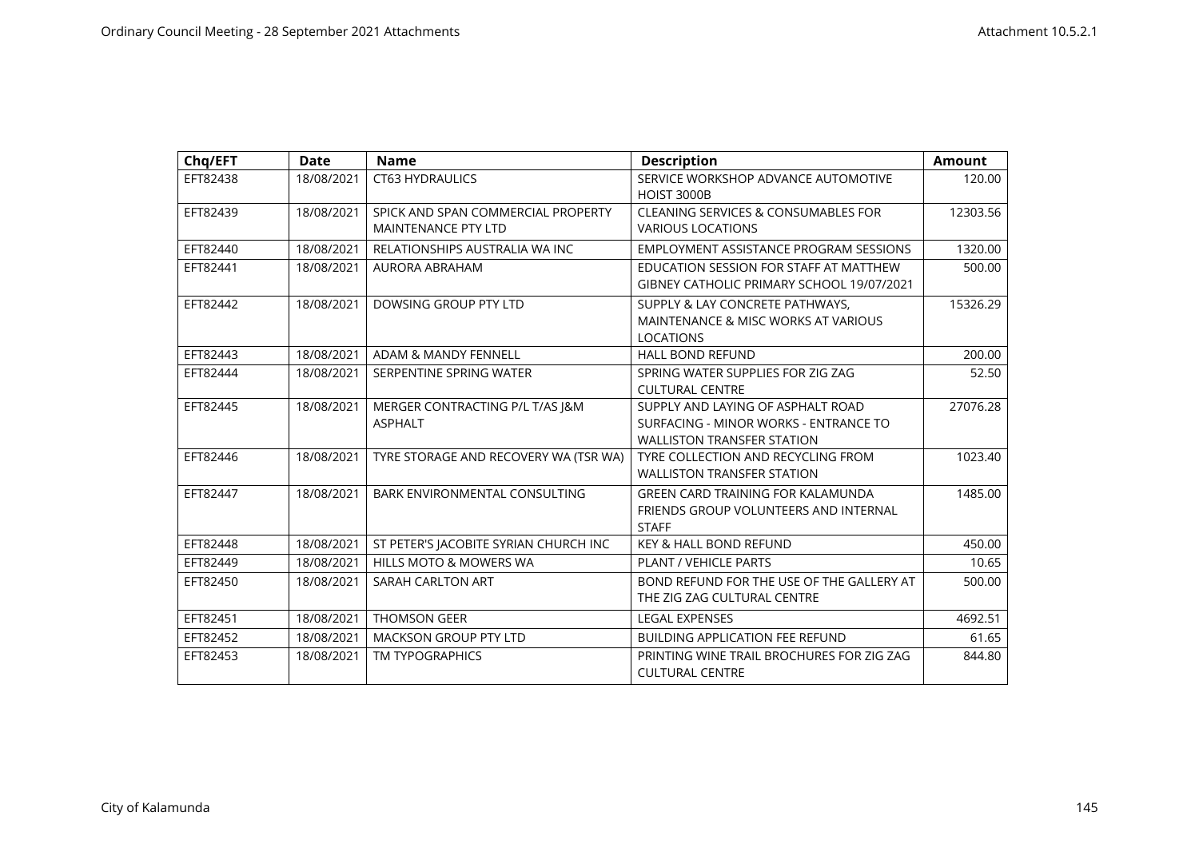| Chq/EFT  | <b>Date</b> | <b>Name</b>                           | <b>Description</b>                                        | <b>Amount</b> |
|----------|-------------|---------------------------------------|-----------------------------------------------------------|---------------|
| EFT82438 | 18/08/2021  | <b>CT63 HYDRAULICS</b>                | SERVICE WORKSHOP ADVANCE AUTOMOTIVE<br><b>HOIST 3000B</b> | 120.00        |
| EFT82439 | 18/08/2021  | SPICK AND SPAN COMMERCIAL PROPERTY    | <b>CLEANING SERVICES &amp; CONSUMABLES FOR</b>            | 12303.56      |
|          |             | <b>MAINTENANCE PTY LTD</b>            | <b>VARIOUS LOCATIONS</b>                                  |               |
| EFT82440 | 18/08/2021  | RELATIONSHIPS AUSTRALIA WA INC        | EMPLOYMENT ASSISTANCE PROGRAM SESSIONS                    | 1320.00       |
| EFT82441 | 18/08/2021  | <b>AURORA ABRAHAM</b>                 | EDUCATION SESSION FOR STAFF AT MATTHEW                    | 500.00        |
|          |             |                                       | GIBNEY CATHOLIC PRIMARY SCHOOL 19/07/2021                 |               |
| EFT82442 | 18/08/2021  | DOWSING GROUP PTY LTD                 | SUPPLY & LAY CONCRETE PATHWAYS.                           | 15326.29      |
|          |             |                                       | MAINTENANCE & MISC WORKS AT VARIOUS                       |               |
|          |             |                                       | <b>LOCATIONS</b>                                          |               |
| EFT82443 | 18/08/2021  | ADAM & MANDY FENNELL                  | <b>HALL BOND REFUND</b>                                   | 200.00        |
| EFT82444 | 18/08/2021  | SERPENTINE SPRING WATER               | SPRING WATER SUPPLIES FOR ZIG ZAG                         | 52.50         |
|          |             |                                       | <b>CULTURAL CENTRE</b>                                    |               |
| EFT82445 | 18/08/2021  | MERGER CONTRACTING P/L T/AS J&M       | SUPPLY AND LAYING OF ASPHALT ROAD                         | 27076.28      |
|          |             | <b>ASPHALT</b>                        | SURFACING - MINOR WORKS - ENTRANCE TO                     |               |
|          |             |                                       | <b>WALLISTON TRANSFER STATION</b>                         |               |
| EFT82446 | 18/08/2021  | TYRE STORAGE AND RECOVERY WA (TSR WA) | TYRE COLLECTION AND RECYCLING FROM                        | 1023.40       |
|          |             |                                       | <b>WALLISTON TRANSFER STATION</b>                         |               |
| EFT82447 | 18/08/2021  | BARK ENVIRONMENTAL CONSULTING         | GREEN CARD TRAINING FOR KALAMUNDA                         | 1485.00       |
|          |             |                                       | FRIENDS GROUP VOLUNTEERS AND INTERNAL                     |               |
|          |             |                                       | <b>STAFF</b>                                              |               |
| EFT82448 | 18/08/2021  | ST PETER'S JACOBITE SYRIAN CHURCH INC | <b>KEY &amp; HALL BOND REFUND</b>                         | 450.00        |
| EFT82449 | 18/08/2021  | HILLS MOTO & MOWERS WA                | <b>PLANT / VEHICLE PARTS</b>                              | 10.65         |
| EFT82450 | 18/08/2021  | SARAH CARLTON ART                     | BOND REFUND FOR THE USE OF THE GALLERY AT                 | 500.00        |
|          |             |                                       | THE ZIG ZAG CULTURAL CENTRE                               |               |
| EFT82451 | 18/08/2021  | <b>THOMSON GEER</b>                   | <b>LEGAL EXPENSES</b>                                     | 4692.51       |
| EFT82452 | 18/08/2021  | <b>MACKSON GROUP PTY LTD</b>          | <b>BUILDING APPLICATION FEE REFUND</b>                    | 61.65         |
| EFT82453 | 18/08/2021  | <b>TM TYPOGRAPHICS</b>                | PRINTING WINE TRAIL BROCHURES FOR ZIG ZAG                 | 844.80        |
|          |             |                                       | <b>CULTURAL CENTRE</b>                                    |               |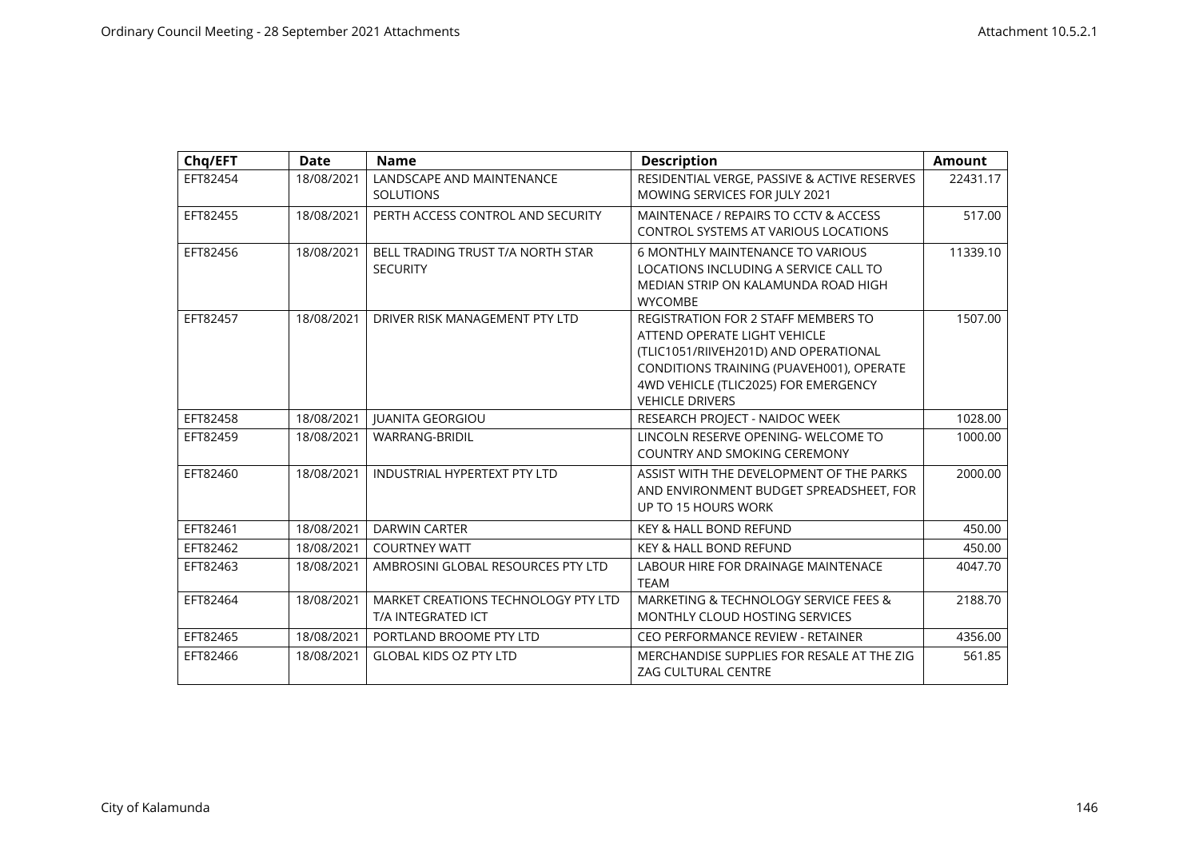| Chq/EFT  | <b>Date</b> | <b>Name</b>                                                      | <b>Description</b>                                                                                                                                                                                                                | <b>Amount</b> |
|----------|-------------|------------------------------------------------------------------|-----------------------------------------------------------------------------------------------------------------------------------------------------------------------------------------------------------------------------------|---------------|
| EFT82454 | 18/08/2021  | LANDSCAPE AND MAINTENANCE<br><b>SOLUTIONS</b>                    | RESIDENTIAL VERGE, PASSIVE & ACTIVE RESERVES<br>MOWING SERVICES FOR JULY 2021                                                                                                                                                     | 22431.17      |
| EFT82455 | 18/08/2021  | PERTH ACCESS CONTROL AND SECURITY                                | MAINTENACE / REPAIRS TO CCTV & ACCESS<br><b>CONTROL SYSTEMS AT VARIOUS LOCATIONS</b>                                                                                                                                              | 517.00        |
| EFT82456 | 18/08/2021  | BELL TRADING TRUST T/A NORTH STAR<br><b>SECURITY</b>             | <b>6 MONTHLY MAINTENANCE TO VARIOUS</b><br>LOCATIONS INCLUDING A SERVICE CALL TO<br>MEDIAN STRIP ON KALAMUNDA ROAD HIGH<br><b>WYCOMBE</b>                                                                                         | 11339.10      |
| EFT82457 | 18/08/2021  | DRIVER RISK MANAGEMENT PTY LTD                                   | <b>REGISTRATION FOR 2 STAFF MEMBERS TO</b><br>ATTEND OPERATE LIGHT VEHICLE<br>(TLIC1051/RIIVEH201D) AND OPERATIONAL<br>CONDITIONS TRAINING (PUAVEH001), OPERATE<br>4WD VEHICLE (TLIC2025) FOR EMERGENCY<br><b>VEHICLE DRIVERS</b> | 1507.00       |
| EFT82458 | 18/08/2021  | <b>IUANITA GEORGIOU</b>                                          | RESEARCH PROJECT - NAIDOC WEEK                                                                                                                                                                                                    | 1028.00       |
| EFT82459 | 18/08/2021  | <b>WARRANG-BRIDIL</b>                                            | LINCOLN RESERVE OPENING- WELCOME TO<br>COUNTRY AND SMOKING CEREMONY                                                                                                                                                               | 1000.00       |
| EFT82460 | 18/08/2021  | <b>INDUSTRIAL HYPERTEXT PTY LTD</b>                              | ASSIST WITH THE DEVELOPMENT OF THE PARKS<br>AND ENVIRONMENT BUDGET SPREADSHEET, FOR<br>UP TO 15 HOURS WORK                                                                                                                        | 2000.00       |
| EFT82461 | 18/08/2021  | <b>DARWIN CARTER</b>                                             | <b>KEY &amp; HALL BOND REFUND</b>                                                                                                                                                                                                 | 450.00        |
| EFT82462 | 18/08/2021  | <b>COURTNEY WATT</b>                                             | <b>KEY &amp; HALL BOND REFUND</b>                                                                                                                                                                                                 | 450.00        |
| EFT82463 | 18/08/2021  | AMBROSINI GLOBAL RESOURCES PTY LTD                               | <b>LABOUR HIRE FOR DRAINAGE MAINTENACE</b><br><b>TEAM</b>                                                                                                                                                                         | 4047.70       |
| EFT82464 | 18/08/2021  | <b>MARKET CREATIONS TECHNOLOGY PTY LTD</b><br>T/A INTEGRATED ICT | MARKETING & TECHNOLOGY SERVICE FEES &<br>MONTHLY CLOUD HOSTING SERVICES                                                                                                                                                           | 2188.70       |
| EFT82465 | 18/08/2021  | PORTLAND BROOME PTY LTD                                          | CEO PERFORMANCE REVIEW - RETAINER                                                                                                                                                                                                 | 4356.00       |
| EFT82466 | 18/08/2021  | <b>GLOBAL KIDS OZ PTY LTD</b>                                    | MERCHANDISE SUPPLIES FOR RESALE AT THE ZIG<br><b>ZAG CULTURAL CENTRE</b>                                                                                                                                                          | 561.85        |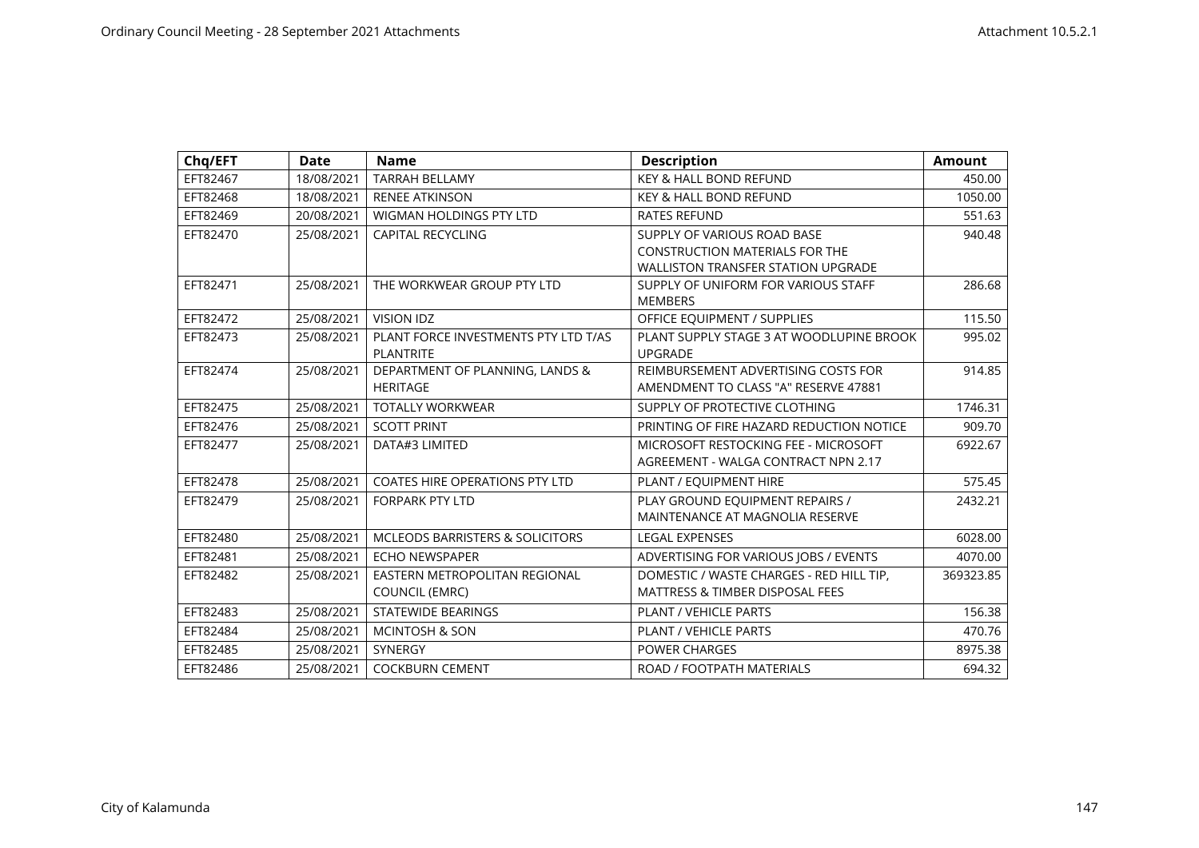| Chq/EFT  | <b>Date</b> | <b>Name</b>                                | <b>Description</b>                         | <b>Amount</b> |
|----------|-------------|--------------------------------------------|--------------------------------------------|---------------|
| EFT82467 | 18/08/2021  | <b>TARRAH BELLAMY</b>                      | KEY & HALL BOND REFUND                     | 450.00        |
| EFT82468 | 18/08/2021  | <b>RENEE ATKINSON</b>                      | <b>KEY &amp; HALL BOND REFUND</b>          | 1050.00       |
| EFT82469 | 20/08/2021  | WIGMAN HOLDINGS PTY LTD                    | <b>RATES REFUND</b>                        | 551.63        |
| EFT82470 | 25/08/2021  | <b>CAPITAL RECYCLING</b>                   | SUPPLY OF VARIOUS ROAD BASE                | 940.48        |
|          |             |                                            | <b>CONSTRUCTION MATERIALS FOR THE</b>      |               |
|          |             |                                            | <b>WALLISTON TRANSFER STATION UPGRADE</b>  |               |
| EFT82471 | 25/08/2021  | THE WORKWEAR GROUP PTY LTD                 | SUPPLY OF UNIFORM FOR VARIOUS STAFF        | 286.68        |
|          |             |                                            | <b>MEMBERS</b>                             |               |
| EFT82472 | 25/08/2021  | <b>VISION IDZ</b>                          | OFFICE EQUIPMENT / SUPPLIES                | 115.50        |
| EFT82473 | 25/08/2021  | PLANT FORCE INVESTMENTS PTY LTD T/AS       | PLANT SUPPLY STAGE 3 AT WOODLUPINE BROOK   | 995.02        |
|          |             | <b>PLANTRITE</b>                           | <b>UPGRADE</b>                             |               |
| EFT82474 | 25/08/2021  | DEPARTMENT OF PLANNING, LANDS &            | REIMBURSEMENT ADVERTISING COSTS FOR        | 914.85        |
|          |             | <b>HERITAGE</b>                            | AMENDMENT TO CLASS "A" RESERVE 47881       |               |
| EFT82475 | 25/08/2021  | <b>TOTALLY WORKWEAR</b>                    | SUPPLY OF PROTECTIVE CLOTHING              | 1746.31       |
| EFT82476 | 25/08/2021  | <b>SCOTT PRINT</b>                         | PRINTING OF FIRE HAZARD REDUCTION NOTICE   | 909.70        |
| EFT82477 | 25/08/2021  | DATA#3 LIMITED                             | MICROSOFT RESTOCKING FEE - MICROSOFT       | 6922.67       |
|          |             |                                            | AGREEMENT - WALGA CONTRACT NPN 2.17        |               |
| EFT82478 | 25/08/2021  | <b>COATES HIRE OPERATIONS PTY LTD</b>      | PLANT / EQUIPMENT HIRE                     | 575.45        |
| EFT82479 | 25/08/2021  | <b>FORPARK PTY LTD</b>                     | PLAY GROUND EQUIPMENT REPAIRS /            | 2432.21       |
|          |             |                                            | MAINTENANCE AT MAGNOLIA RESERVE            |               |
| EFT82480 | 25/08/2021  | <b>MCLEODS BARRISTERS &amp; SOLICITORS</b> | <b>LEGAL EXPENSES</b>                      | 6028.00       |
| EFT82481 | 25/08/2021  | <b>ECHO NEWSPAPER</b>                      | ADVERTISING FOR VARIOUS JOBS / EVENTS      | 4070.00       |
| EFT82482 | 25/08/2021  | EASTERN METROPOLITAN REGIONAL              | DOMESTIC / WASTE CHARGES - RED HILL TIP,   | 369323.85     |
|          |             | <b>COUNCIL (EMRC)</b>                      | <b>MATTRESS &amp; TIMBER DISPOSAL FEES</b> |               |
| EFT82483 | 25/08/2021  | <b>STATEWIDE BEARINGS</b>                  | PLANT / VEHICLE PARTS                      | 156.38        |
| EFT82484 | 25/08/2021  | <b>MCINTOSH &amp; SON</b>                  | <b>PLANT / VEHICLE PARTS</b>               | 470.76        |
| EFT82485 | 25/08/2021  | <b>SYNERGY</b>                             | <b>POWER CHARGES</b>                       | 8975.38       |
| EFT82486 | 25/08/2021  | <b>COCKBURN CEMENT</b>                     | ROAD / FOOTPATH MATERIALS                  | 694.32        |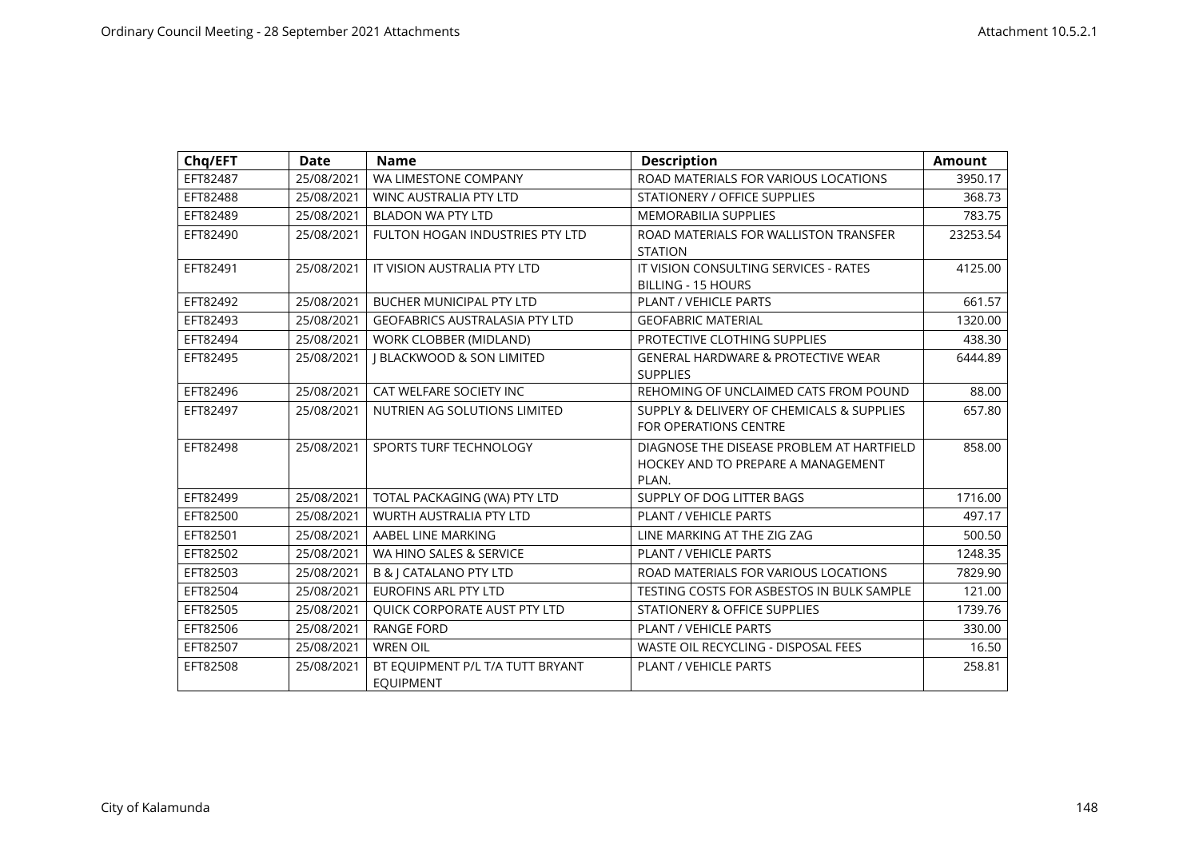| Chq/EFT  | <b>Date</b> | <b>Name</b>                           | <b>Description</b>                            | <b>Amount</b> |
|----------|-------------|---------------------------------------|-----------------------------------------------|---------------|
| EFT82487 | 25/08/2021  | WA LIMESTONE COMPANY                  | ROAD MATERIALS FOR VARIOUS LOCATIONS          | 3950.17       |
| EFT82488 | 25/08/2021  | <b>WINC AUSTRALIA PTY LTD</b>         | <b>STATIONERY / OFFICE SUPPLIES</b>           | 368.73        |
| EFT82489 | 25/08/2021  | <b>BLADON WA PTY LTD</b>              | <b>MEMORABILIA SUPPLIES</b>                   | 783.75        |
| EFT82490 | 25/08/2021  | FULTON HOGAN INDUSTRIES PTY LTD       | ROAD MATERIALS FOR WALLISTON TRANSFER         | 23253.54      |
|          |             |                                       | <b>STATION</b>                                |               |
| EFT82491 | 25/08/2021  | IT VISION AUSTRALIA PTY LTD           | IT VISION CONSULTING SERVICES - RATES         | 4125.00       |
|          |             |                                       | <b>BILLING - 15 HOURS</b>                     |               |
| EFT82492 | 25/08/2021  | <b>BUCHER MUNICIPAL PTY LTD</b>       | <b>PLANT / VEHICLE PARTS</b>                  | 661.57        |
| EFT82493 | 25/08/2021  | <b>GEOFABRICS AUSTRALASIA PTY LTD</b> | <b>GEOFABRIC MATERIAL</b>                     | 1320.00       |
| EFT82494 | 25/08/2021  | WORK CLOBBER (MIDLAND)                | PROTECTIVE CLOTHING SUPPLIES                  | 438.30        |
| EFT82495 | 25/08/2021  | <b>I BLACKWOOD &amp; SON LIMITED</b>  | <b>GENERAL HARDWARE &amp; PROTECTIVE WEAR</b> | 6444.89       |
|          |             |                                       | <b>SUPPLIES</b>                               |               |
| EFT82496 | 25/08/2021  | CAT WELFARE SOCIETY INC               | REHOMING OF UNCLAIMED CATS FROM POUND         | 88.00         |
| EFT82497 | 25/08/2021  | NUTRIEN AG SOLUTIONS LIMITED          | SUPPLY & DELIVERY OF CHEMICALS & SUPPLIES     | 657.80        |
|          |             |                                       | <b>FOR OPERATIONS CENTRE</b>                  |               |
| EFT82498 | 25/08/2021  | SPORTS TURF TECHNOLOGY                | DIAGNOSE THE DISEASE PROBLEM AT HARTFIELD     | 858.00        |
|          |             |                                       | HOCKEY AND TO PREPARE A MANAGEMENT            |               |
|          |             |                                       | PLAN.                                         |               |
| EFT82499 | 25/08/2021  | TOTAL PACKAGING (WA) PTY LTD          | SUPPLY OF DOG LITTER BAGS                     | 1716.00       |
| EFT82500 | 25/08/2021  | <b>WURTH AUSTRALIA PTY LTD</b>        | <b>PLANT / VEHICLE PARTS</b>                  | 497.17        |
| EFT82501 | 25/08/2021  | AABEL LINE MARKING                    | LINE MARKING AT THE ZIG ZAG                   | 500.50        |
| EFT82502 | 25/08/2021  | WA HINO SALES & SERVICE               | PLANT / VEHICLE PARTS                         | 1248.35       |
| EFT82503 | 25/08/2021  | B & J CATALANO PTY LTD                | ROAD MATERIALS FOR VARIOUS LOCATIONS          | 7829.90       |
| EFT82504 | 25/08/2021  | <b>EUROFINS ARL PTY LTD</b>           | TESTING COSTS FOR ASBESTOS IN BULK SAMPLE     | 121.00        |
| EFT82505 | 25/08/2021  | QUICK CORPORATE AUST PTY LTD          | STATIONERY & OFFICE SUPPLIES                  | 1739.76       |
| EFT82506 | 25/08/2021  | <b>RANGE FORD</b>                     | <b>PLANT / VEHICLE PARTS</b>                  | 330.00        |
| EFT82507 | 25/08/2021  | <b>WREN OIL</b>                       | <b>WASTE OIL RECYCLING - DISPOSAL FEES</b>    | 16.50         |
| EFT82508 | 25/08/2021  | BT EQUIPMENT P/L T/A TUTT BRYANT      | <b>PLANT / VEHICLE PARTS</b>                  | 258.81        |
|          |             | <b>EQUIPMENT</b>                      |                                               |               |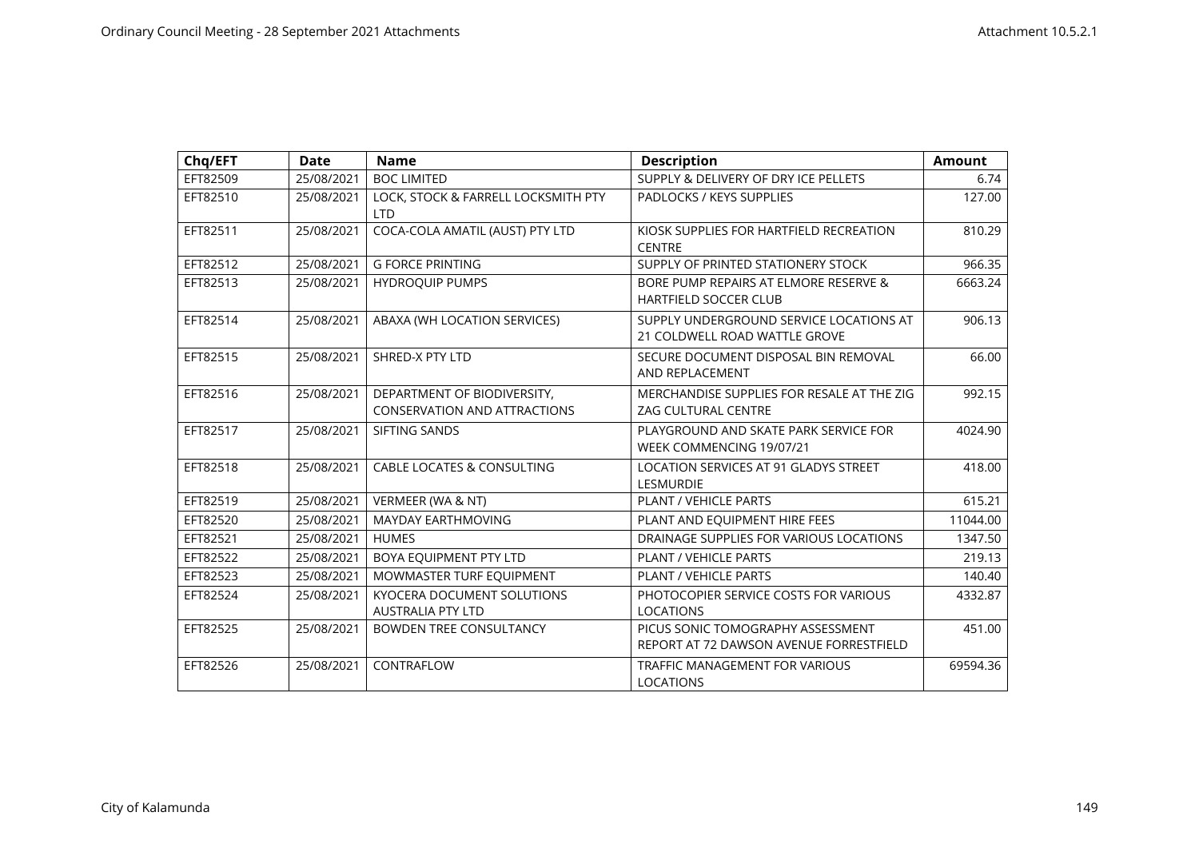| Chq/EFT  | <b>Date</b> | <b>Name</b>                                                        | <b>Description</b>                                                           | <b>Amount</b> |
|----------|-------------|--------------------------------------------------------------------|------------------------------------------------------------------------------|---------------|
| EFT82509 | 25/08/2021  | <b>BOC LIMITED</b>                                                 | SUPPLY & DELIVERY OF DRY ICE PELLETS                                         | 6.74          |
| EFT82510 | 25/08/2021  | LOCK, STOCK & FARRELL LOCKSMITH PTY<br><b>LTD</b>                  | PADLOCKS / KEYS SUPPLIES                                                     | 127.00        |
| EFT82511 | 25/08/2021  | COCA-COLA AMATIL (AUST) PTY LTD                                    | KIOSK SUPPLIES FOR HARTFIELD RECREATION<br><b>CENTRE</b>                     | 810.29        |
| EFT82512 | 25/08/2021  | <b>G FORCE PRINTING</b>                                            | SUPPLY OF PRINTED STATIONERY STOCK                                           | 966.35        |
| EFT82513 | 25/08/2021  | <b>HYDROQUIP PUMPS</b>                                             | BORE PUMP REPAIRS AT ELMORE RESERVE &<br><b>HARTFIELD SOCCER CLUB</b>        | 6663.24       |
| EFT82514 | 25/08/2021  | ABAXA (WH LOCATION SERVICES)                                       | SUPPLY UNDERGROUND SERVICE LOCATIONS AT<br>21 COLDWELL ROAD WATTLE GROVE     | 906.13        |
| EFT82515 | 25/08/2021  | SHRED-X PTY LTD                                                    | SECURE DOCUMENT DISPOSAL BIN REMOVAL<br>AND REPLACEMENT                      | 66.00         |
| EFT82516 | 25/08/2021  | DEPARTMENT OF BIODIVERSITY,<br><b>CONSERVATION AND ATTRACTIONS</b> | MERCHANDISE SUPPLIES FOR RESALE AT THE ZIG<br><b>ZAG CULTURAL CENTRE</b>     | 992.15        |
| EFT82517 | 25/08/2021  | SIFTING SANDS                                                      | PLAYGROUND AND SKATE PARK SERVICE FOR<br>WEEK COMMENCING 19/07/21            | 4024.90       |
| EFT82518 | 25/08/2021  | <b>CABLE LOCATES &amp; CONSULTING</b>                              | LOCATION SERVICES AT 91 GLADYS STREET<br><b>LESMURDIE</b>                    | 418.00        |
| EFT82519 | 25/08/2021  | VERMEER (WA & NT)                                                  | PLANT / VEHICLE PARTS                                                        | 615.21        |
| EFT82520 | 25/08/2021  | <b>MAYDAY EARTHMOVING</b>                                          | PLANT AND EQUIPMENT HIRE FEES                                                | 11044.00      |
| EFT82521 | 25/08/2021  | <b>HUMES</b>                                                       | DRAINAGE SUPPLIES FOR VARIOUS LOCATIONS                                      | 1347.50       |
| EFT82522 | 25/08/2021  | BOYA EQUIPMENT PTY LTD                                             | PLANT / VEHICLE PARTS                                                        | 219.13        |
| EFT82523 | 25/08/2021  | MOWMASTER TURF EQUIPMENT                                           | PLANT / VEHICLE PARTS                                                        | 140.40        |
| EFT82524 | 25/08/2021  | KYOCERA DOCUMENT SOLUTIONS<br><b>AUSTRALIA PTY LTD</b>             | PHOTOCOPIER SERVICE COSTS FOR VARIOUS<br><b>LOCATIONS</b>                    | 4332.87       |
| EFT82525 | 25/08/2021  | <b>BOWDEN TREE CONSULTANCY</b>                                     | PICUS SONIC TOMOGRAPHY ASSESSMENT<br>REPORT AT 72 DAWSON AVENUE FORRESTFIELD | 451.00        |
| EFT82526 | 25/08/2021  | CONTRAFLOW                                                         | <b>TRAFFIC MANAGEMENT FOR VARIOUS</b><br><b>LOCATIONS</b>                    | 69594.36      |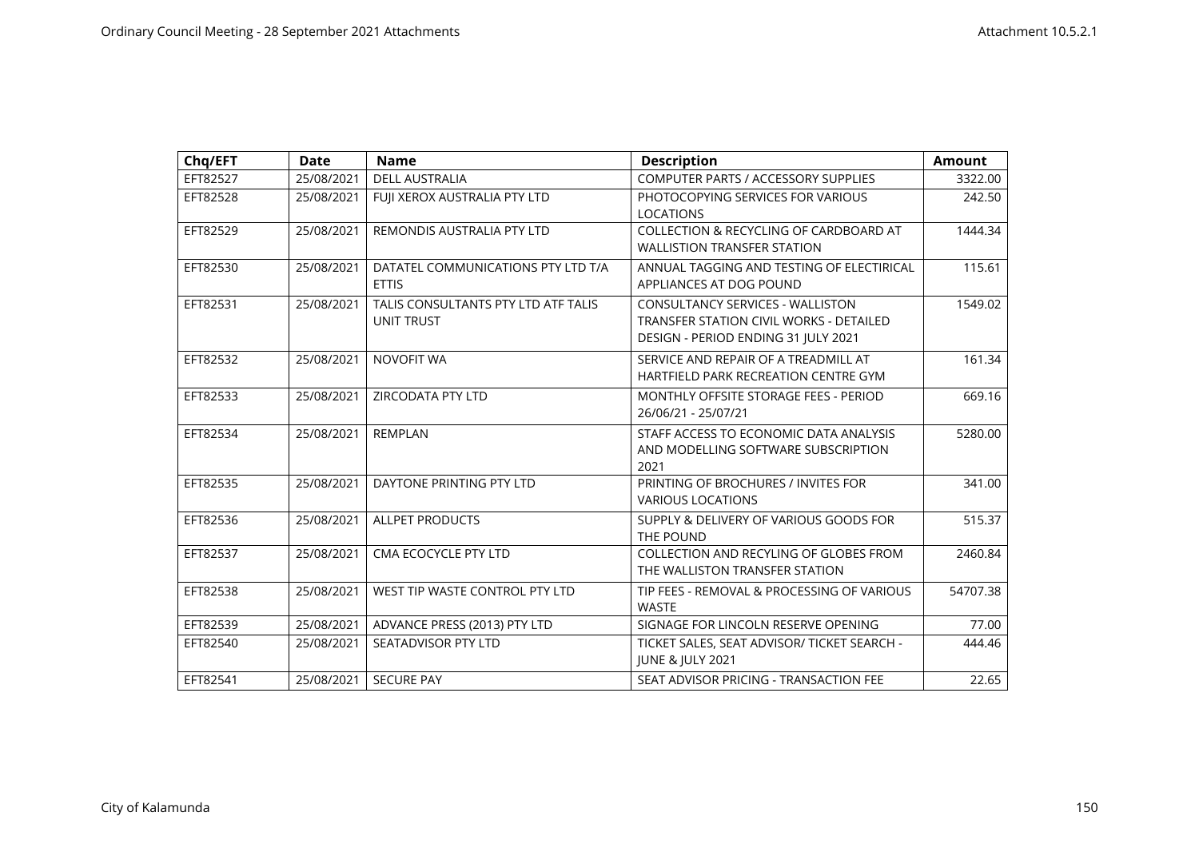| Chq/EFT  | <b>Date</b> | <b>Name</b>                                              | <b>Description</b>                                                                                                               | <b>Amount</b> |
|----------|-------------|----------------------------------------------------------|----------------------------------------------------------------------------------------------------------------------------------|---------------|
| EFT82527 | 25/08/2021  | <b>DELL AUSTRALIA</b>                                    | COMPUTER PARTS / ACCESSORY SUPPLIES                                                                                              | 3322.00       |
| EFT82528 | 25/08/2021  | FUII XEROX AUSTRALIA PTY LTD                             | PHOTOCOPYING SERVICES FOR VARIOUS<br><b>LOCATIONS</b>                                                                            | 242.50        |
| EFT82529 | 25/08/2021  | REMONDIS AUSTRALIA PTY LTD                               | COLLECTION & RECYCLING OF CARDBOARD AT<br><b>WALLISTION TRANSFER STATION</b>                                                     | 1444.34       |
| EFT82530 | 25/08/2021  | DATATEL COMMUNICATIONS PTY LTD T/A<br><b>ETTIS</b>       | ANNUAL TAGGING AND TESTING OF ELECTIRICAL<br>APPLIANCES AT DOG POUND                                                             | 115.61        |
| EFT82531 | 25/08/2021  | TALIS CONSULTANTS PTY LTD ATF TALIS<br><b>UNIT TRUST</b> | <b>CONSULTANCY SERVICES - WALLISTON</b><br><b>TRANSFER STATION CIVIL WORKS - DETAILED</b><br>DESIGN - PERIOD ENDING 31 JULY 2021 | 1549.02       |
| EFT82532 | 25/08/2021  | NOVOFIT WA                                               | SERVICE AND REPAIR OF A TREADMILL AT<br>HARTFIELD PARK RECREATION CENTRE GYM                                                     | 161.34        |
| EFT82533 | 25/08/2021  | ZIRCODATA PTY LTD                                        | MONTHLY OFFSITE STORAGE FEES - PERIOD<br>26/06/21 - 25/07/21                                                                     | 669.16        |
| EFT82534 | 25/08/2021  | <b>REMPLAN</b>                                           | STAFF ACCESS TO ECONOMIC DATA ANALYSIS<br>AND MODELLING SOFTWARE SUBSCRIPTION<br>2021                                            | 5280.00       |
| EFT82535 | 25/08/2021  | DAYTONE PRINTING PTY LTD                                 | PRINTING OF BROCHURES / INVITES FOR<br><b>VARIOUS LOCATIONS</b>                                                                  | 341.00        |
| EFT82536 | 25/08/2021  | <b>ALLPET PRODUCTS</b>                                   | SUPPLY & DELIVERY OF VARIOUS GOODS FOR<br>THE POUND                                                                              | 515.37        |
| EFT82537 | 25/08/2021  | CMA ECOCYCLE PTY LTD                                     | COLLECTION AND RECYLING OF GLOBES FROM<br>THE WALLISTON TRANSFER STATION                                                         | 2460.84       |
| EFT82538 | 25/08/2021  | WEST TIP WASTE CONTROL PTY LTD                           | TIP FEES - REMOVAL & PROCESSING OF VARIOUS<br><b>WASTE</b>                                                                       | 54707.38      |
| EFT82539 | 25/08/2021  | ADVANCE PRESS (2013) PTY LTD                             | SIGNAGE FOR LINCOLN RESERVE OPENING                                                                                              | 77.00         |
| EFT82540 | 25/08/2021  | <b>SEATADVISOR PTY LTD</b>                               | TICKET SALES, SEAT ADVISOR/ TICKET SEARCH -<br><b>JUNE &amp; JULY 2021</b>                                                       | 444.46        |
| EFT82541 | 25/08/2021  | <b>SECURE PAY</b>                                        | SEAT ADVISOR PRICING - TRANSACTION FEE                                                                                           | 22.65         |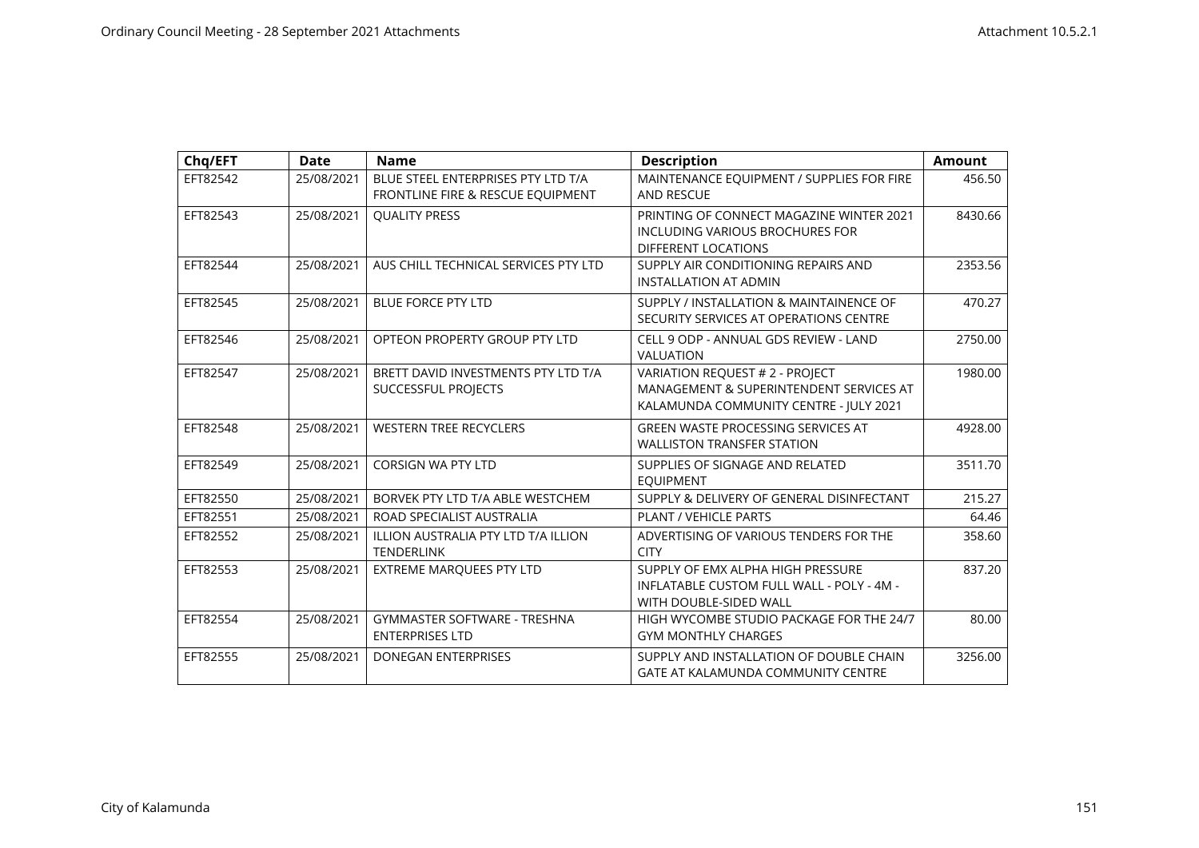| Chq/EFT  | <b>Date</b> | <b>Name</b>                                                             | <b>Description</b>                                                                                                   | <b>Amount</b> |
|----------|-------------|-------------------------------------------------------------------------|----------------------------------------------------------------------------------------------------------------------|---------------|
| EFT82542 | 25/08/2021  | BLUE STEEL ENTERPRISES PTY LTD T/A<br>FRONTLINE FIRE & RESCUE EQUIPMENT | MAINTENANCE EQUIPMENT / SUPPLIES FOR FIRE<br><b>AND RESCUE</b>                                                       | 456.50        |
| EFT82543 | 25/08/2021  | <b>OUALITY PRESS</b>                                                    | PRINTING OF CONNECT MAGAZINE WINTER 2021<br>INCLUDING VARIOUS BROCHURES FOR<br><b>DIFFERENT LOCATIONS</b>            | 8430.66       |
| EFT82544 | 25/08/2021  | AUS CHILL TECHNICAL SERVICES PTY LTD                                    | SUPPLY AIR CONDITIONING REPAIRS AND<br><b>INSTALLATION AT ADMIN</b>                                                  | 2353.56       |
| EFT82545 | 25/08/2021  | <b>BLUE FORCE PTY LTD</b>                                               | SUPPLY / INSTALLATION & MAINTAINENCE OF<br>SECURITY SERVICES AT OPERATIONS CENTRE                                    | 470.27        |
| EFT82546 | 25/08/2021  | OPTEON PROPERTY GROUP PTY LTD                                           | CELL 9 ODP - ANNUAL GDS REVIEW - LAND<br>VALUATION                                                                   | 2750.00       |
| EFT82547 | 25/08/2021  | BRETT DAVID INVESTMENTS PTY LTD T/A<br>SUCCESSFUL PROJECTS              | VARIATION REQUEST # 2 - PROJECT<br>MANAGEMENT & SUPERINTENDENT SERVICES AT<br>KALAMUNDA COMMUNITY CENTRE - JULY 2021 | 1980.00       |
| EFT82548 | 25/08/2021  | <b>WESTERN TREE RECYCLERS</b>                                           | <b>GREEN WASTE PROCESSING SERVICES AT</b><br><b>WALLISTON TRANSFER STATION</b>                                       | 4928.00       |
| EFT82549 | 25/08/2021  | <b>CORSIGN WA PTY LTD</b>                                               | SUPPLIES OF SIGNAGE AND RELATED<br><b>EOUIPMENT</b>                                                                  | 3511.70       |
| EFT82550 | 25/08/2021  | BORVEK PTY LTD T/A ABLE WESTCHEM                                        | SUPPLY & DELIVERY OF GENERAL DISINFECTANT                                                                            | 215.27        |
| EFT82551 | 25/08/2021  | ROAD SPECIALIST AUSTRALIA                                               | PLANT / VEHICLE PARTS                                                                                                | 64.46         |
| EFT82552 | 25/08/2021  | ILLION AUSTRALIA PTY LTD T/A ILLION<br><b>TENDERLINK</b>                | ADVERTISING OF VARIOUS TENDERS FOR THE<br><b>CITY</b>                                                                | 358.60        |
| EFT82553 | 25/08/2021  | EXTREME MARQUEES PTY LTD                                                | SUPPLY OF EMX ALPHA HIGH PRESSURE<br>INFLATABLE CUSTOM FULL WALL - POLY - 4M -<br>WITH DOUBLE-SIDED WALL             | 837.20        |
| EFT82554 | 25/08/2021  | <b>GYMMASTER SOFTWARE - TRESHNA</b><br><b>ENTERPRISES LTD</b>           | HIGH WYCOMBE STUDIO PACKAGE FOR THE 24/7<br><b>GYM MONTHLY CHARGES</b>                                               | 80.00         |
| EFT82555 | 25/08/2021  | <b>DONEGAN ENTERPRISES</b>                                              | SUPPLY AND INSTALLATION OF DOUBLE CHAIN<br><b>GATE AT KALAMUNDA COMMUNITY CENTRE</b>                                 | 3256.00       |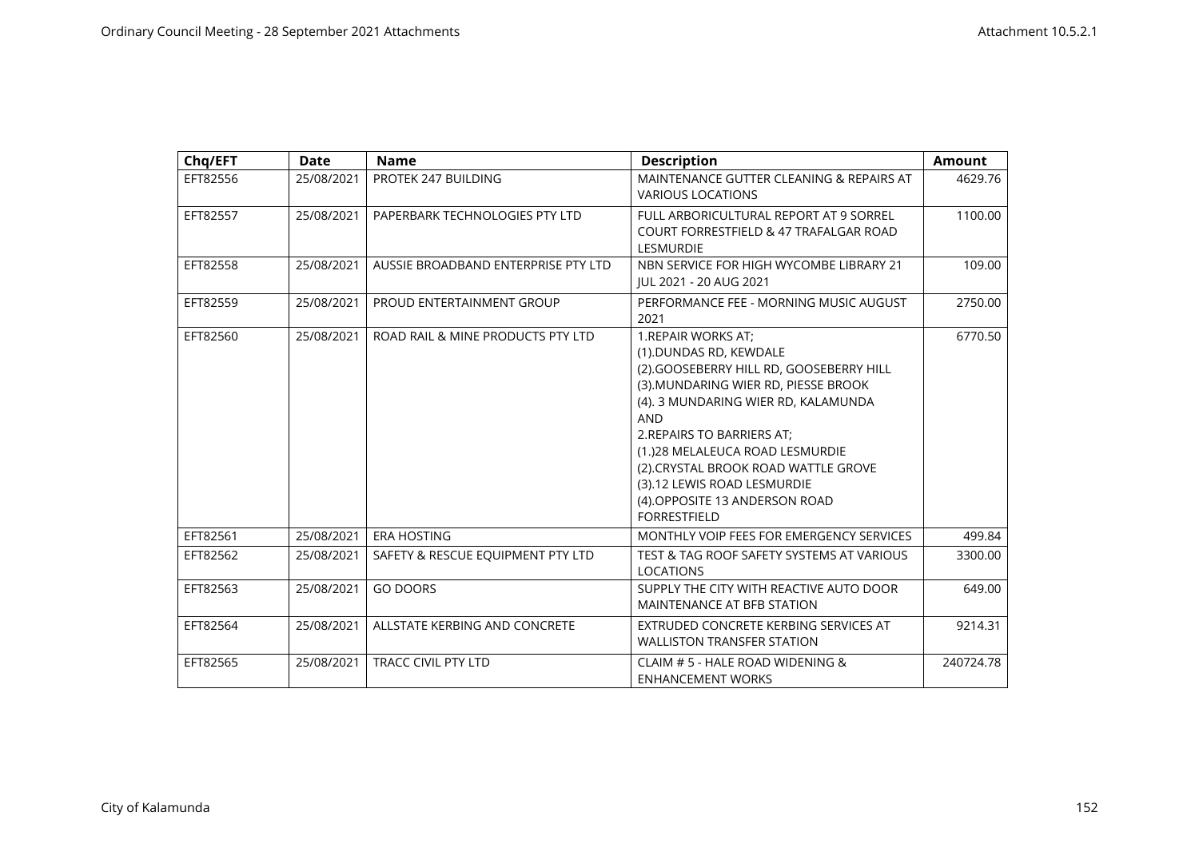| Chq/EFT  | Date       | <b>Name</b>                         | <b>Description</b>                                                                                                                                                                                                                                                                                                                                                                  | <b>Amount</b> |
|----------|------------|-------------------------------------|-------------------------------------------------------------------------------------------------------------------------------------------------------------------------------------------------------------------------------------------------------------------------------------------------------------------------------------------------------------------------------------|---------------|
| EFT82556 | 25/08/2021 | PROTEK 247 BUILDING                 | MAINTENANCE GUTTER CLEANING & REPAIRS AT<br><b>VARIOUS LOCATIONS</b>                                                                                                                                                                                                                                                                                                                | 4629.76       |
| EFT82557 | 25/08/2021 | PAPERBARK TECHNOLOGIES PTY LTD      | FULL ARBORICULTURAL REPORT AT 9 SORREL<br><b>COURT FORRESTFIELD &amp; 47 TRAFALGAR ROAD</b><br><b>LESMURDIE</b>                                                                                                                                                                                                                                                                     | 1100.00       |
| EFT82558 | 25/08/2021 | AUSSIE BROADBAND ENTERPRISE PTY LTD | NBN SERVICE FOR HIGH WYCOMBE LIBRARY 21<br>JUL 2021 - 20 AUG 2021                                                                                                                                                                                                                                                                                                                   | 109.00        |
| EFT82559 | 25/08/2021 | PROUD ENTERTAINMENT GROUP           | PERFORMANCE FEE - MORNING MUSIC AUGUST<br>2021                                                                                                                                                                                                                                                                                                                                      | 2750.00       |
| EFT82560 | 25/08/2021 | ROAD RAIL & MINE PRODUCTS PTY LTD   | 1. REPAIR WORKS AT;<br>(1).DUNDAS RD, KEWDALE<br>(2).GOOSEBERRY HILL RD, GOOSEBERRY HILL<br>(3). MUNDARING WIER RD, PIESSE BROOK<br>(4). 3 MUNDARING WIER RD, KALAMUNDA<br><b>AND</b><br>2.REPAIRS TO BARRIERS AT;<br>(1.)28 MELALEUCA ROAD LESMURDIE<br>(2) CRYSTAL BROOK ROAD WATTLE GROVE<br>(3).12 LEWIS ROAD LESMURDIE<br>(4) OPPOSITE 13 ANDERSON ROAD<br><b>FORRESTFIELD</b> | 6770.50       |
| EFT82561 | 25/08/2021 | <b>ERA HOSTING</b>                  | MONTHLY VOIP FEES FOR EMERGENCY SERVICES                                                                                                                                                                                                                                                                                                                                            | 499.84        |
| EFT82562 | 25/08/2021 | SAFETY & RESCUE EQUIPMENT PTY LTD   | TEST & TAG ROOF SAFETY SYSTEMS AT VARIOUS<br><b>LOCATIONS</b>                                                                                                                                                                                                                                                                                                                       | 3300.00       |
| EFT82563 | 25/08/2021 | <b>GO DOORS</b>                     | SUPPLY THE CITY WITH REACTIVE AUTO DOOR<br>MAINTENANCE AT BFB STATION                                                                                                                                                                                                                                                                                                               | 649.00        |
| EFT82564 | 25/08/2021 | ALLSTATE KERBING AND CONCRETE       | EXTRUDED CONCRETE KERBING SERVICES AT<br><b>WALLISTON TRANSFER STATION</b>                                                                                                                                                                                                                                                                                                          | 9214.31       |
| EFT82565 | 25/08/2021 | TRACC CIVIL PTY LTD                 | CLAIM # 5 - HALE ROAD WIDENING &<br><b>ENHANCEMENT WORKS</b>                                                                                                                                                                                                                                                                                                                        | 240724.78     |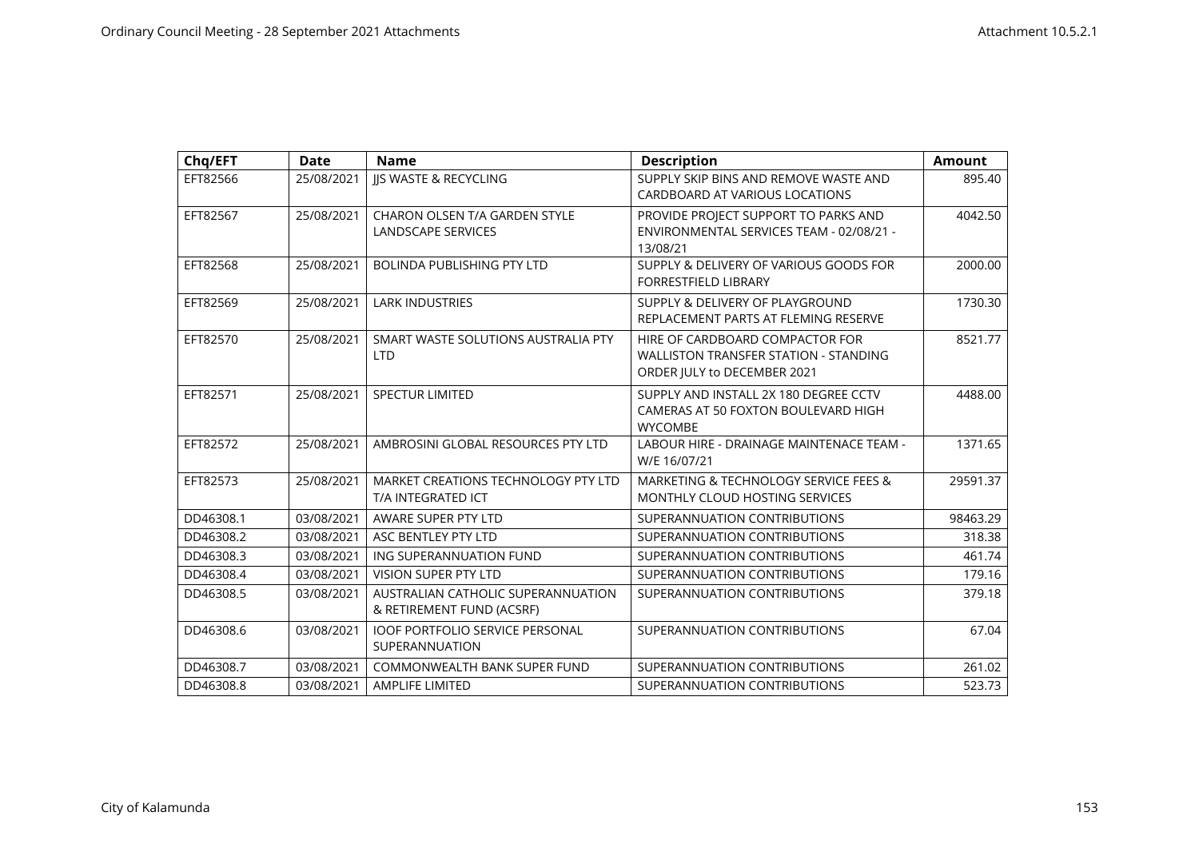| Chq/EFT   | <b>Date</b> | <b>Name</b>                                                     | <b>Description</b>                                                                                      | <b>Amount</b> |
|-----------|-------------|-----------------------------------------------------------------|---------------------------------------------------------------------------------------------------------|---------------|
| EFT82566  | 25/08/2021  | <b>IIS WASTE &amp; RECYCLING</b>                                | SUPPLY SKIP BINS AND REMOVE WASTE AND<br>CARDBOARD AT VARIOUS LOCATIONS                                 | 895.40        |
| EFT82567  | 25/08/2021  | CHARON OLSEN T/A GARDEN STYLE<br><b>LANDSCAPE SERVICES</b>      | PROVIDE PROJECT SUPPORT TO PARKS AND<br>ENVIRONMENTAL SERVICES TEAM - 02/08/21 -<br>13/08/21            | 4042.50       |
| EFT82568  | 25/08/2021  | <b>BOLINDA PUBLISHING PTY LTD</b>                               | SUPPLY & DELIVERY OF VARIOUS GOODS FOR<br><b>FORRESTFIELD LIBRARY</b>                                   | 2000.00       |
| EFT82569  | 25/08/2021  | <b>LARK INDUSTRIES</b>                                          | SUPPLY & DELIVERY OF PLAYGROUND<br>REPLACEMENT PARTS AT FLEMING RESERVE                                 | 1730.30       |
| EFT82570  | 25/08/2021  | SMART WASTE SOLUTIONS AUSTRALIA PTY<br><b>LTD</b>               | HIRE OF CARDBOARD COMPACTOR FOR<br>WALLISTON TRANSFER STATION - STANDING<br>ORDER JULY to DECEMBER 2021 | 8521.77       |
| EFT82571  | 25/08/2021  | <b>SPECTUR LIMITED</b>                                          | SUPPLY AND INSTALL 2X 180 DEGREE CCTV<br>CAMERAS AT 50 FOXTON BOULEVARD HIGH<br><b>WYCOMBE</b>          | 4488.00       |
| EFT82572  | 25/08/2021  | AMBROSINI GLOBAL RESOURCES PTY LTD                              | LABOUR HIRE - DRAINAGE MAINTENACE TEAM -<br>W/E 16/07/21                                                | 1371.65       |
| EFT82573  | 25/08/2021  | MARKET CREATIONS TECHNOLOGY PTY LTD<br>T/A INTEGRATED ICT       | MARKETING & TECHNOLOGY SERVICE FEES &<br><b>MONTHLY CLOUD HOSTING SERVICES</b>                          | 29591.37      |
| DD46308.1 | 03/08/2021  | AWARE SUPER PTY LTD                                             | SUPERANNUATION CONTRIBUTIONS                                                                            | 98463.29      |
| DD46308.2 | 03/08/2021  | ASC BENTLEY PTY LTD                                             | SUPERANNUATION CONTRIBUTIONS                                                                            | 318.38        |
| DD46308.3 | 03/08/2021  | ING SUPERANNUATION FUND                                         | SUPERANNUATION CONTRIBUTIONS                                                                            | 461.74        |
| DD46308.4 | 03/08/2021  | <b>VISION SUPER PTY LTD</b>                                     | SUPERANNUATION CONTRIBUTIONS                                                                            | 179.16        |
| DD46308.5 | 03/08/2021  | AUSTRALIAN CATHOLIC SUPERANNUATION<br>& RETIREMENT FUND (ACSRF) | SUPERANNUATION CONTRIBUTIONS                                                                            | 379.18        |
| DD46308.6 | 03/08/2021  | <b>IOOF PORTFOLIO SERVICE PERSONAL</b><br>SUPERANNUATION        | SUPERANNUATION CONTRIBUTIONS                                                                            | 67.04         |
| DD46308.7 | 03/08/2021  | <b>COMMONWEALTH BANK SUPER FUND</b>                             | SUPERANNUATION CONTRIBUTIONS                                                                            | 261.02        |
| DD46308.8 | 03/08/2021  | <b>AMPLIFE LIMITED</b>                                          | SUPERANNUATION CONTRIBUTIONS                                                                            | 523.73        |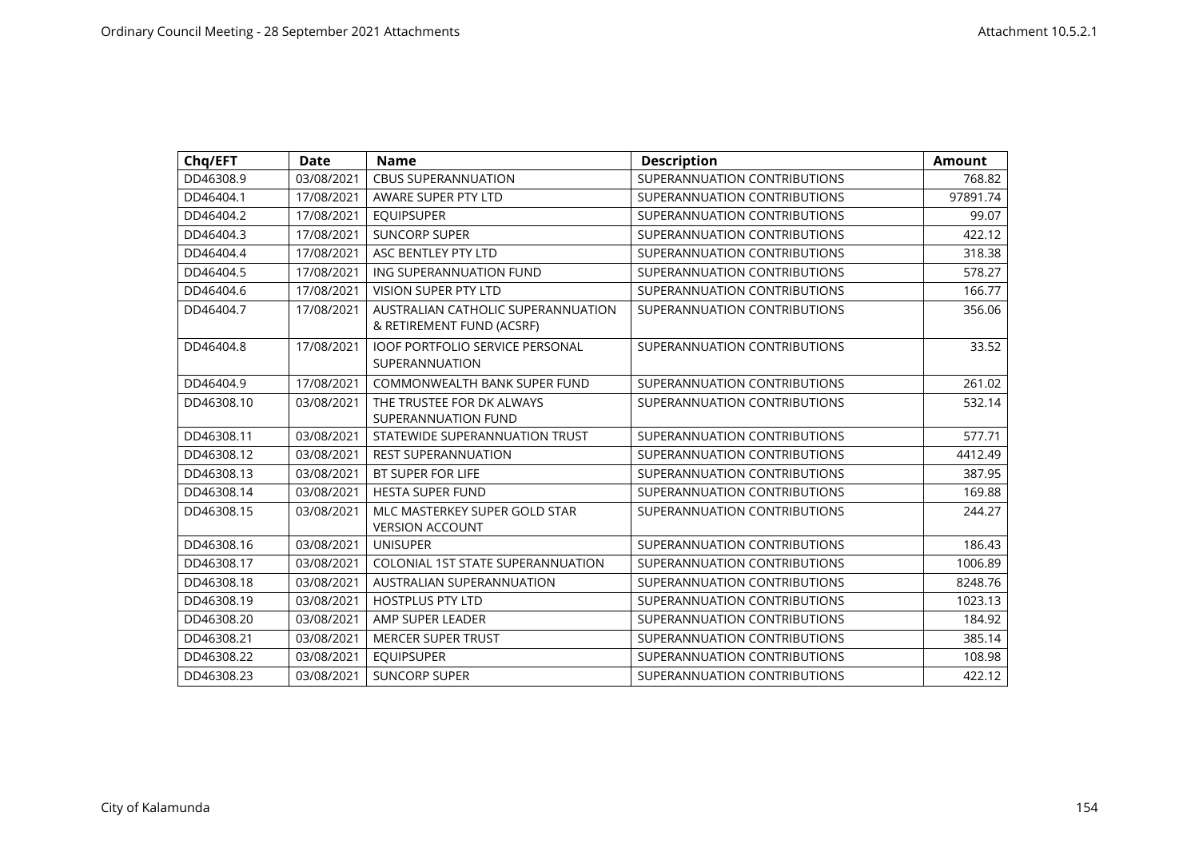| Chq/EFT    | <b>Date</b> | <b>Name</b>                                                     | <b>Description</b>           | <b>Amount</b> |
|------------|-------------|-----------------------------------------------------------------|------------------------------|---------------|
| DD46308.9  | 03/08/2021  | <b>CBUS SUPERANNUATION</b>                                      | SUPERANNUATION CONTRIBUTIONS | 768.82        |
| DD46404.1  | 17/08/2021  | AWARE SUPER PTY LTD                                             | SUPERANNUATION CONTRIBUTIONS | 97891.74      |
| DD46404.2  | 17/08/2021  | <b>EQUIPSUPER</b>                                               | SUPERANNUATION CONTRIBUTIONS | 99.07         |
| DD46404.3  | 17/08/2021  | <b>SUNCORP SUPER</b>                                            | SUPERANNUATION CONTRIBUTIONS | 422.12        |
| DD46404.4  | 17/08/2021  | ASC BENTLEY PTY LTD                                             | SUPERANNUATION CONTRIBUTIONS | 318.38        |
| DD46404.5  | 17/08/2021  | ING SUPERANNUATION FUND                                         | SUPERANNUATION CONTRIBUTIONS | 578.27        |
| DD46404.6  | 17/08/2021  | <b>VISION SUPER PTY LTD</b>                                     | SUPERANNUATION CONTRIBUTIONS | 166.77        |
| DD46404.7  | 17/08/2021  | AUSTRALIAN CATHOLIC SUPERANNUATION<br>& RETIREMENT FUND (ACSRF) | SUPERANNUATION CONTRIBUTIONS | 356.06        |
| DD46404.8  | 17/08/2021  | <b>IOOF PORTFOLIO SERVICE PERSONAL</b><br>SUPERANNUATION        | SUPERANNUATION CONTRIBUTIONS | 33.52         |
| DD46404.9  | 17/08/2021  | <b>COMMONWEALTH BANK SUPER FUND</b>                             | SUPERANNUATION CONTRIBUTIONS | 261.02        |
| DD46308.10 | 03/08/2021  | THE TRUSTEE FOR DK ALWAYS<br>SUPERANNUATION FUND                | SUPERANNUATION CONTRIBUTIONS | 532.14        |
| DD46308.11 | 03/08/2021  | STATEWIDE SUPERANNUATION TRUST                                  | SUPERANNUATION CONTRIBUTIONS | 577.71        |
| DD46308.12 | 03/08/2021  | <b>REST SUPERANNUATION</b>                                      | SUPERANNUATION CONTRIBUTIONS | 4412.49       |
| DD46308.13 | 03/08/2021  | <b>BT SUPER FOR LIFE</b>                                        | SUPERANNUATION CONTRIBUTIONS | 387.95        |
| DD46308.14 | 03/08/2021  | <b>HESTA SUPER FUND</b>                                         | SUPERANNUATION CONTRIBUTIONS | 169.88        |
| DD46308.15 | 03/08/2021  | MLC MASTERKEY SUPER GOLD STAR<br><b>VERSION ACCOUNT</b>         | SUPERANNUATION CONTRIBUTIONS | 244.27        |
| DD46308.16 | 03/08/2021  | <b>UNISUPER</b>                                                 | SUPERANNUATION CONTRIBUTIONS | 186.43        |
| DD46308.17 | 03/08/2021  | <b>COLONIAL 1ST STATE SUPERANNUATION</b>                        | SUPERANNUATION CONTRIBUTIONS | 1006.89       |
| DD46308.18 | 03/08/2021  | <b>AUSTRALIAN SUPERANNUATION</b>                                | SUPERANNUATION CONTRIBUTIONS | 8248.76       |
| DD46308.19 | 03/08/2021  | <b>HOSTPLUS PTY LTD</b>                                         | SUPERANNUATION CONTRIBUTIONS | 1023.13       |
| DD46308.20 | 03/08/2021  | AMP SUPER LEADER                                                | SUPERANNUATION CONTRIBUTIONS | 184.92        |
| DD46308.21 | 03/08/2021  | <b>MERCER SUPER TRUST</b>                                       | SUPERANNUATION CONTRIBUTIONS | 385.14        |
| DD46308.22 | 03/08/2021  | <b>EQUIPSUPER</b>                                               | SUPERANNUATION CONTRIBUTIONS | 108.98        |
| DD46308.23 | 03/08/2021  | <b>SUNCORP SUPER</b>                                            | SUPERANNUATION CONTRIBUTIONS | 422.12        |